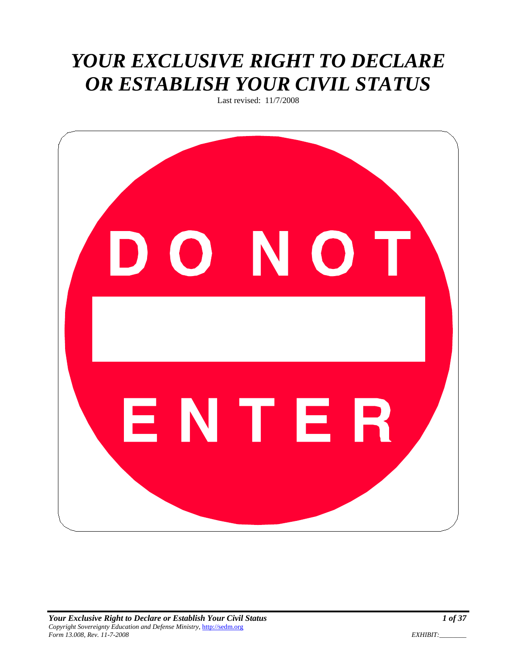# *YOUR EXCLUSIVE RIGHT TO DECLARE OR ESTABLISH YOUR CIVIL STATUS*

Last revised: 11/7/2008

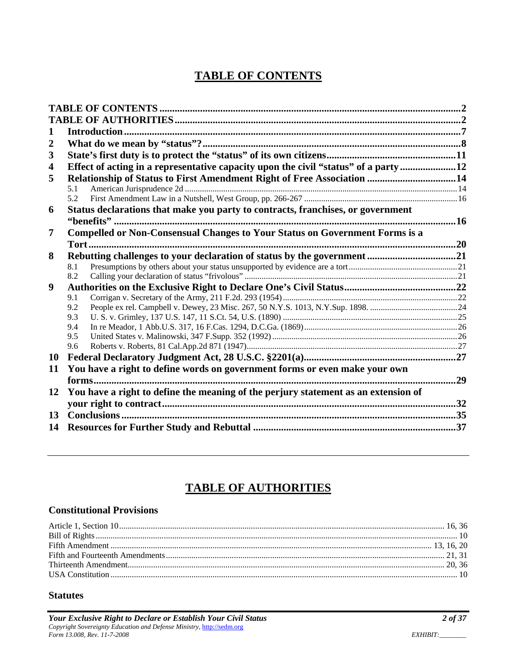# **TABLE OF CONTENTS**

<span id="page-1-0"></span>

| 1  |                                                                                     |     |
|----|-------------------------------------------------------------------------------------|-----|
| 2  |                                                                                     |     |
| 3  |                                                                                     |     |
| 4  | Effect of acting in a representative capacity upon the civil "status" of a party 12 |     |
| 5  | Relationship of Status to First Amendment Right of Free Association 14              |     |
|    | 5.1                                                                                 |     |
|    | 5.2                                                                                 |     |
| 6  | Status declarations that make you party to contracts, franchises, or government     |     |
|    |                                                                                     |     |
| 7  | <b>Compelled or Non-Consensual Changes to Your Status on Government Forms is a</b>  |     |
|    |                                                                                     |     |
| 8  |                                                                                     |     |
|    | 8.1                                                                                 |     |
|    | 8.2                                                                                 |     |
| 9  |                                                                                     |     |
|    | 9.1                                                                                 |     |
|    | 9.2                                                                                 |     |
|    | 9.3                                                                                 |     |
|    | 9.4                                                                                 |     |
|    | 9.5                                                                                 |     |
|    | 9.6                                                                                 |     |
| 10 |                                                                                     |     |
| 11 | You have a right to define words on government forms or even make your own          |     |
|    |                                                                                     | .29 |
| 12 | You have a right to define the meaning of the perjury statement as an extension of  |     |
|    |                                                                                     |     |
| 13 |                                                                                     |     |
| 14 |                                                                                     |     |

# **TABLE OF AUTHORITIES**

#### <span id="page-1-1"></span>**Constitutional Provisions**

#### **Statutes**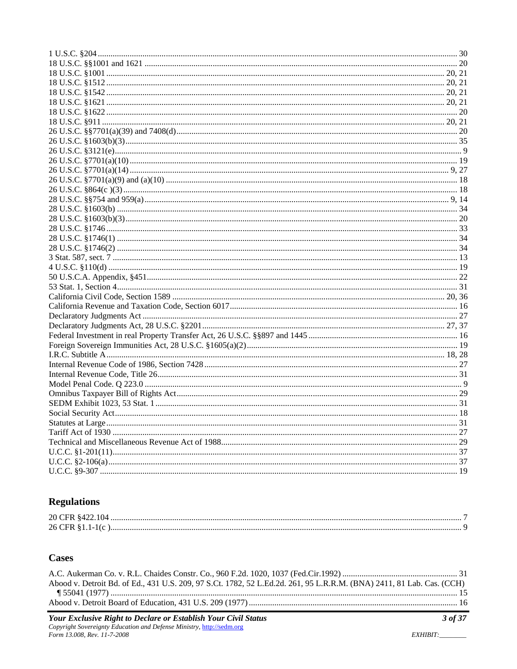# **Regulations**

# **Cases**

| Abood v. Detroit Bd. of Ed., 431 U.S. 209, 97 S.Ct. 1782, 52 L.Ed.2d. 261, 95 L.R.R.M. (BNA) 2411, 81 Lab. Cas. (CCH) |  |
|-----------------------------------------------------------------------------------------------------------------------|--|
|                                                                                                                       |  |
|                                                                                                                       |  |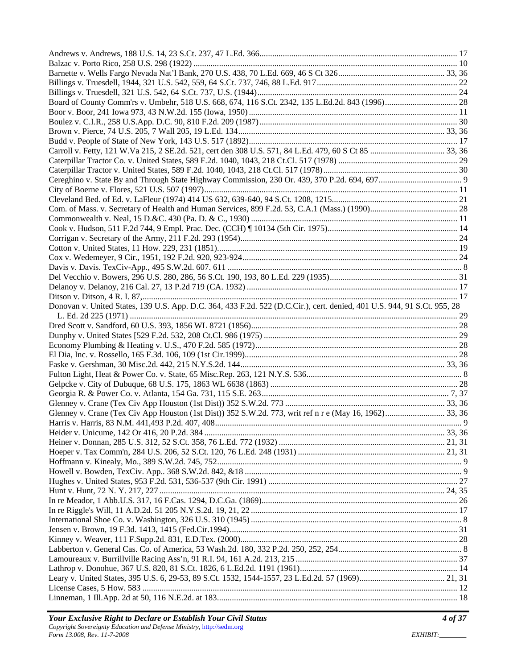| Donovan v. United States, 139 U.S. App. D.C. 364, 433 F.2d. 522 (D.C.Cir.), cert. denied, 401 U.S. 944, 91 S.Ct. 955, 28 |  |
|--------------------------------------------------------------------------------------------------------------------------|--|
|                                                                                                                          |  |
|                                                                                                                          |  |
|                                                                                                                          |  |
|                                                                                                                          |  |
|                                                                                                                          |  |
|                                                                                                                          |  |
|                                                                                                                          |  |
|                                                                                                                          |  |
|                                                                                                                          |  |
|                                                                                                                          |  |
|                                                                                                                          |  |
|                                                                                                                          |  |
|                                                                                                                          |  |
|                                                                                                                          |  |
|                                                                                                                          |  |
|                                                                                                                          |  |
|                                                                                                                          |  |
|                                                                                                                          |  |
|                                                                                                                          |  |
|                                                                                                                          |  |
|                                                                                                                          |  |
|                                                                                                                          |  |
|                                                                                                                          |  |
|                                                                                                                          |  |
|                                                                                                                          |  |
|                                                                                                                          |  |
|                                                                                                                          |  |
|                                                                                                                          |  |
|                                                                                                                          |  |
|                                                                                                                          |  |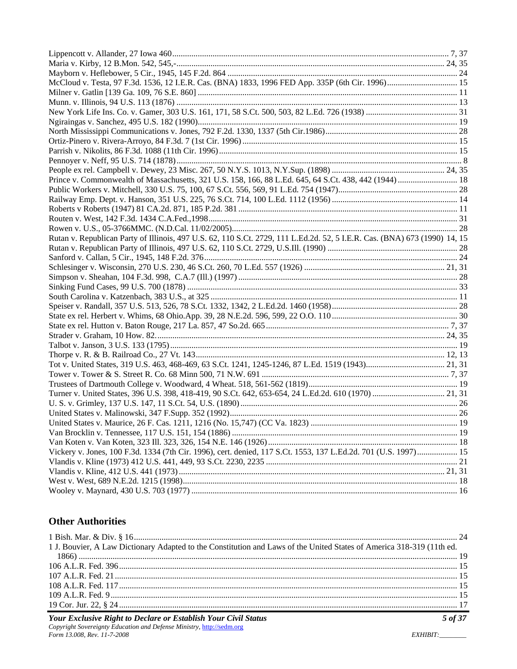| McCloud v. Testa, 97 F.3d. 1536, 12 I.E.R. Cas. (BNA) 1833, 1996 FED App. 335P (6th Cir. 1996) 15                          |  |
|----------------------------------------------------------------------------------------------------------------------------|--|
|                                                                                                                            |  |
|                                                                                                                            |  |
|                                                                                                                            |  |
|                                                                                                                            |  |
|                                                                                                                            |  |
|                                                                                                                            |  |
|                                                                                                                            |  |
|                                                                                                                            |  |
|                                                                                                                            |  |
|                                                                                                                            |  |
|                                                                                                                            |  |
|                                                                                                                            |  |
|                                                                                                                            |  |
|                                                                                                                            |  |
|                                                                                                                            |  |
| Rutan v. Republican Party of Illinois, 497 U.S. 62, 110 S.Ct. 2729, 111 L.Ed.2d. 52, 5 I.E.R. Cas. (BNA) 673 (1990) 14, 15 |  |
|                                                                                                                            |  |
|                                                                                                                            |  |
|                                                                                                                            |  |
|                                                                                                                            |  |
|                                                                                                                            |  |
|                                                                                                                            |  |
|                                                                                                                            |  |
|                                                                                                                            |  |
|                                                                                                                            |  |
|                                                                                                                            |  |
|                                                                                                                            |  |
|                                                                                                                            |  |
|                                                                                                                            |  |
|                                                                                                                            |  |
|                                                                                                                            |  |
|                                                                                                                            |  |
|                                                                                                                            |  |
|                                                                                                                            |  |
|                                                                                                                            |  |
|                                                                                                                            |  |
|                                                                                                                            |  |
| Vickery v. Jones, 100 F.3d. 1334 (7th Cir. 1996), cert. denied, 117 S.Ct. 1553, 137 L.Ed.2d. 701 (U.S. 1997) 15            |  |
|                                                                                                                            |  |
|                                                                                                                            |  |
|                                                                                                                            |  |
|                                                                                                                            |  |

## **Other Authorities**

| 1 J. Bouvier, A Law Dictionary Adapted to the Constitution and Laws of the United States of America 318-319 (11th ed. |  |
|-----------------------------------------------------------------------------------------------------------------------|--|
|                                                                                                                       |  |
|                                                                                                                       |  |
|                                                                                                                       |  |
|                                                                                                                       |  |
|                                                                                                                       |  |
|                                                                                                                       |  |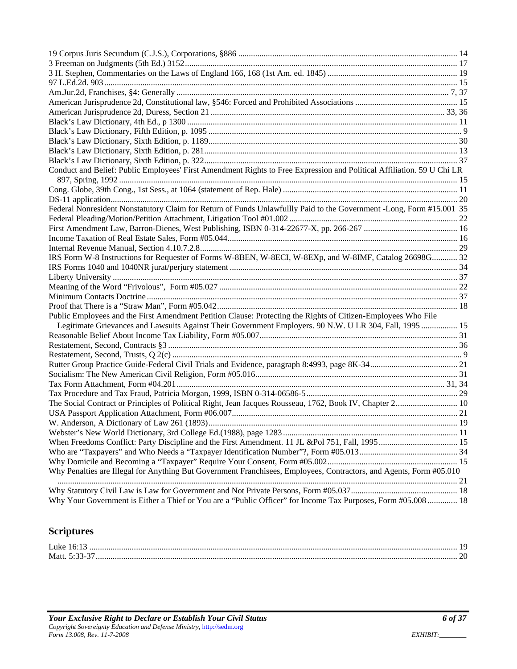| Conduct and Belief: Public Employees' First Amendment Rights to Free Expression and Political Affiliation. 59 U Chi LR |  |
|------------------------------------------------------------------------------------------------------------------------|--|
|                                                                                                                        |  |
|                                                                                                                        |  |
|                                                                                                                        |  |
| Federal Nonresident Nonstatutory Claim for Return of Funds Unlawfullly Paid to the Government -Long, Form #15.001 35   |  |
|                                                                                                                        |  |
|                                                                                                                        |  |
|                                                                                                                        |  |
|                                                                                                                        |  |
| IRS Form W-8 Instructions for Requester of Forms W-8BEN, W-8ECI, W-8EXp, and W-8IMF, Catalog 26698G 32                 |  |
|                                                                                                                        |  |
|                                                                                                                        |  |
|                                                                                                                        |  |
|                                                                                                                        |  |
|                                                                                                                        |  |
| Public Employees and the First Amendment Petition Clause: Protecting the Rights of Citizen-Employees Who File          |  |
| Legitimate Grievances and Lawsuits Against Their Government Employers. 90 N.W. U LR 304, Fall, 1995  15                |  |
|                                                                                                                        |  |
|                                                                                                                        |  |
|                                                                                                                        |  |
|                                                                                                                        |  |
|                                                                                                                        |  |
|                                                                                                                        |  |
|                                                                                                                        |  |
|                                                                                                                        |  |
| The Social Contract or Principles of Political Right, Jean Jacques Rousseau, 1762, Book IV, Chapter 2 10               |  |
|                                                                                                                        |  |
|                                                                                                                        |  |
|                                                                                                                        |  |
|                                                                                                                        |  |
|                                                                                                                        |  |
|                                                                                                                        |  |
| Why Penalties are Illegal for Anything But Government Franchisees, Employees, Contractors, and Agents, Form #05.010    |  |
|                                                                                                                        |  |
|                                                                                                                        |  |
| Why Your Government is Either a Thief or You are a "Public Officer" for Income Tax Purposes, Form #05.008 18           |  |

# **Scriptures**

| Luke $16:1$                |  |
|----------------------------|--|
| Matt $5.3$<br>$\mathbf{v}$ |  |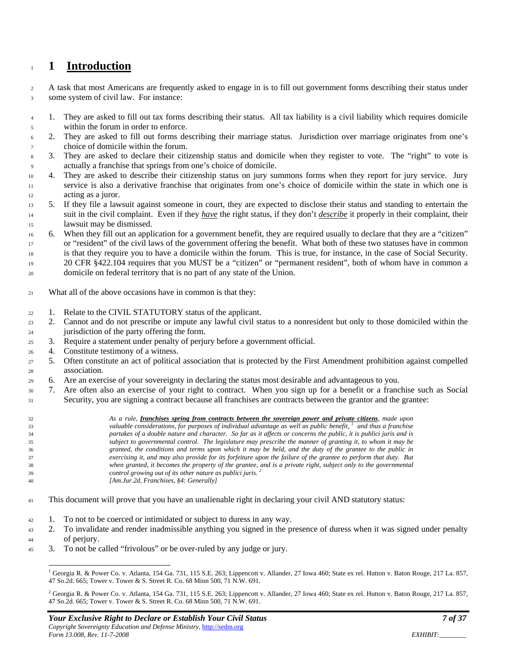## <span id="page-6-0"></span>**1 Introduction**

 A task that most Americans are frequently asked to engage in is to fill out government forms describing their status under some system of civil law. For instance:

- 1. They are asked to fill out tax forms describing their status. All tax liability is a civil liability which requires domicile within the forum in order to enforce.
- 2. They are asked to fill out forms describing their marriage status. Jurisdiction over marriage originates from one's choice of domicile within the forum.
- 3. They are asked to declare their citizenship status and domicile when they register to vote. The "right" to vote is actually a franchise that springs from one's choice of domicile.
- 4. They are asked to describe their citizenship status on jury summons forms when they report for jury service. Jury service is also a derivative franchise that originates from one's choice of domicile within the state in which one is acting as a juror.
- 5. If they file a lawsuit against someone in court, they are expected to disclose their status and standing to entertain the suit in the civil complaint. Even if they *have* the right status, if they don't *describe* it properly in their complaint, their lawsuit may be dismissed.
- 6. When they fill out an application for a government benefit, they are required usually to declare that they are a "citizen" or "resident" of the civil laws of the government offering the benefit. What both of these two statuses have in common is that they require you to have a domicile within the forum. This is true, for instance, in the case of Social Security. 20 CFR §422.104 requires that you MUST be a "citizen" or "permanent resident", both of whom have in common a domicile on federal territory that is no part of any state of the Union.
- What all of the above occasions have in common is that they:
- 1. Relate to the CIVIL STATUTORY status of the applicant.
- 2. Cannot and do not prescribe or impute any lawful civil status to a nonresident but only to those domiciled within the jurisdiction of the party offering the form.
- 3. Require a statement under penalty of perjury before a government official.
- 4. Constitute testimony of a witness.
- 5. Often constitute an act of political association that is protected by the First Amendment prohibition against compelled association.
- 6. Are an exercise of your sovereignty in declaring the status most desirable and advantageous to you.
- 7. Are often also an exercise of your right to contract. When you sign up for a benefit or a franchise such as Social Security, you are signing a contract because all franchises are contracts between the grantor and the grantee:

| 32 | As a rule, franchises spring from contracts between the sovereign power and private citizens, made upon              |
|----|----------------------------------------------------------------------------------------------------------------------|
| 33 | valuable considerations, for purposes of individual advantage as well as public benefit, $\ell$ and thus a franchise |
| 34 | partakes of a double nature and character. So far as it affects or concerns the public, it is publici juris and is   |
| 35 | subject to governmental control. The legislature may prescribe the manner of granting it, to whom it may be          |
| 36 | granted, the conditions and terms upon which it may be held, and the duty of the grantee to the public in            |
| 37 | exercising it, and may also provide for its forfeiture upon the failure of the grantee to perform that duty. But     |
| 38 | when granted, it becomes the property of the grantee, and is a private right, subject only to the governmental       |
| 39 | control growing out of its other nature as publici juris.                                                            |
| 40 | [Am.Jur.2d, Franchises, §4: Generally]                                                                               |
|    |                                                                                                                      |

- This document will prove that you have an unalienable right in declaring your civil AND statutory status:
- 1. To not to be coerced or intimidated or subject to duress in any way.
- 2. To invalidate and render inadmissible anything you signed in the presence of duress when it was signed under penalty of perjury.
- 3. To not be called "frivolous" or be over-ruled by any judge or jury.

<sup>&</sup>lt;sup>1</sup> Georgia R. & Power Co. v. Atlanta, 154 Ga. 731, 115 S.E. 263; Lippencott v. Allander, 27 Iowa 460; State ex rel. Hutton v. Baton Rouge, 217 La. 857, 47 So.2d. 665; Tower v. Tower & S. Street R. Co. 68 Minn 500, 71 N.W. 691.

<sup>&</sup>lt;sup>2</sup> Georgia R. & Power Co. v. Atlanta, 154 Ga. 731, 115 S.E. 263; Lippencott v. Allander, 27 Iowa 460; State ex rel. Hutton v. Baton Rouge, 217 La. 857, 47 So.2d. 665; Tower v. Tower & S. Street R. Co. 68 Minn 500, 71 N.W. 691.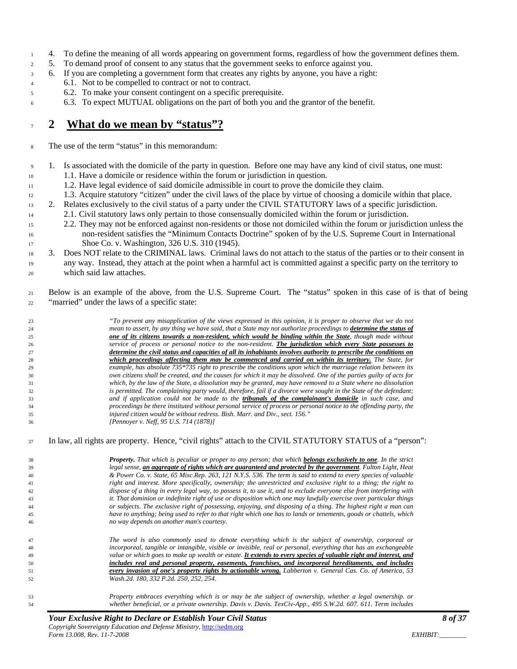- 4. To define the meaning of all words appearing on government forms, regardless of how the government defines them.
- 5. To demand proof of consent to any status that the government seeks to enforce against you.
- 6. If you are completing a government form that creates any rights by anyone, you have a right:
- 6.1. Not to be compelled to contract or not to contract.
- 6.2. To make your consent contingent on a specific prerequisite.
- <span id="page-7-0"></span>6.3. To expect MUTUAL obligations on the part of both you and the grantor of the benefit.

## **2 What do we mean by "status"?**

- The use of the term "status" in this memorandum:
- 1. Is associated with the domicile of the party in question. Before one may have any kind of civil status, one must:
- 1.1. Have a domicile or residence within the forum or jurisdiction in question.
- 1.2. Have legal evidence of said domicile admissible in court to prove the domicile they claim.
- 1.3. Acquire statutory "citizen" under the civil laws of the place by virtue of choosing a domicile within that place.
- 2. Relates exclusively to the civil status of a party under the CIVIL STATUTORY laws of a specific jurisdiction.
- 2.1. Civil statutory laws only pertain to those consensually domiciled within the forum or jurisdiction.
- 2.2. They may not be enforced against non-residents or those not domiciled within the forum or jurisdiction unless the non-resident satisfies the "Minimum Contacts Doctrine" spoken of by the U.S. Supreme Court in International 17 Shoe Co. v. Washington, 326 U.S. 310 (1945).
- 3. Does NOT relate to the CRIMINAL laws. Criminal laws do not attach to the status of the parties or to their consent in any way. Instead, they attach at the point when a harmful act is committed against a specific party on the territory to which said law attaches.

#### Below is an example of the above, from the U.S. Supreme Court. The "status" spoken in this case of is that of being "married" under the laws of a specific state:

 *"To prevent any misapplication of the views expressed in this opinion, it is proper to observe that we do not mean to assert, by any thing we have said, that a State may not authorize proceedings to determine the status of one of its citizens towards a non-resident, which would be binding within the State, though made without service of process or personal notice to the non-resident. The jurisdiction which every State possesses to determine the civil status and capacities of all its inhabitants involves authority to prescribe the conditions on which proceedings affecting them may be commenced and carried on within its territory. The State, for example, has absolute 735\*735 right to prescribe the conditions upon which the marriage relation between its own citizens shall be created, and the causes for which it may be dissolved. One of the parties guilty of acts for which, by the law of the State, a dissolution may be granted, may have removed to a State where no dissolution is permitted. The complaining party would, therefore, fail if a divorce were sought in the State of the defendant; and if application could not be made to the tribunals of the complainant's domicile in such case, and proceedings be there instituted without personal service of process or personal notice to the offending party, the injured citizen would be without redress. Bish. Marr. and Div., sect. 156." [Pennoyer v. Neff, 95 U.S. 714 (1878)]*

In law, all rights are property. Hence, "civil rights" attach to the CIVIL STATUTORY STATUS of a "person":

 *Property. That which is peculiar or proper to any person; that which belongs exclusively to one. In the strict legal sense, an aggregate of rights which are guaranteed and protected by the government. Fulton Light, Heat & Power Co. v. State, 65 Misc.Rep. 263, 121 N.Y.S. 536. The term is said to extend to every species of valuable right and interest. More specifically, ownership; the unrestricted and exclusive right to a thing; the right to dispose of a thing in every legal way, to possess it, to use it, and to exclude everyone else from interfering with it. That dominion or indefinite right of use or disposition which one may lawfully exercise over particular things or subjects. The exclusive right of possessing, enjoying, and disposing of a thing. The highest right a man can have to anything; being used to refer to that right which one has to lands or tenements, goods or chattels, which no way depends on another man's courtesy.*

- *The word is also commonly used to denote everything which is the subject of ownership, corporeal or incorporeal, tangible or intangible, visible or invisible, real or personal, everything that has an exchangeable value or which goes to make up wealth or estate. It extends to every species of valuable right and interest, and includes real and personal property, easements, franchises, and incorporeal hereditaments, and includes every invasion of one's property rights by actionable wrong. Labberton v. General Cas. Co. of America, 53 Wash.2d. 180, 332 P.2d. 250, 252, 254.*
- *Property embraces everything which is or may be the subject of ownership, whether a legal ownership. or whether beneficial, or a private ownership. Davis v. Davis. TexCiv-App., 495 S.W.2d. 607. 611. Term includes*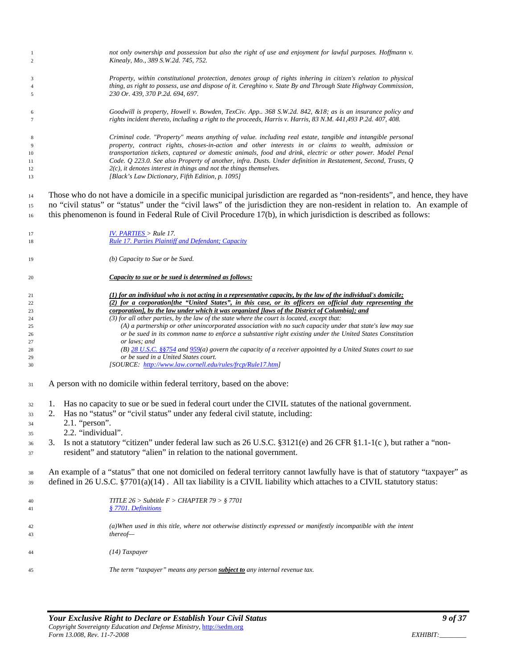| -1<br>2                  | not only ownership and possession but also the right of use and enjoyment for lawful purposes. Hoffmann v.<br>Kinealy, Mo., 389 S.W.2d. 745, 752.                                                                                                                    |
|--------------------------|----------------------------------------------------------------------------------------------------------------------------------------------------------------------------------------------------------------------------------------------------------------------|
| 3<br>$\overline{4}$<br>5 | Property, within constitutional protection, denotes group of rights inhering in citizen's relation to physical<br>thing, as right to possess, use and dispose of it. Cereghino v. State By and Through State Highway Commission,<br>230 Or. 439, 370 P.2d. 694, 697. |
| 6<br>$\overline{7}$      | Goodwill is property, Howell v. Bowden, TexCiv. App 368 S.W.2d. 842, &18; as is an insurance policy and<br>rights incident thereto, including a right to the proceeds, Harris v. Harris, 83 N.M. 441,493 P.2d. 407, 408.                                             |
| 8                        | Criminal code. "Property" means anything of value. including real estate, tangible and intangible personal                                                                                                                                                           |
| 9                        | property, contract rights, choses-in-action and other interests in or claims to wealth, admission or                                                                                                                                                                 |
| 10                       | transportation tickets, captured or domestic animals, food and drink, electric or other power. Model Penal                                                                                                                                                           |
| 11                       | Code. O 223.0. See also Property of another, infra. Dusts. Under definition in Restatement, Second, Trusts, O                                                                                                                                                        |
| 12                       | $2(c)$ , it denotes interest in things and not the things themselves.                                                                                                                                                                                                |
| 13                       | [Black's Law Dictionary, Fifth Edition, p. 1095]                                                                                                                                                                                                                     |
| 14<br>15                 | Those who do not have a domicile in a specific municipal jurisdiction are regarded as "non-residents", and hence, they have<br>no "civil status" or "status" under the "civil laws" of the jurisdiction they are non-resident in relation to. An example of          |
| 16                       | this phenomenon is found in Federal Rule of Civil Procedure 17(b), in which jurisdiction is described as follows:                                                                                                                                                    |
|                          |                                                                                                                                                                                                                                                                      |
| 17                       | <i>IV. PARTIES</i> > Rule 17.<br>Rule 17. Parties Plaintiff and Defendant; Capacity                                                                                                                                                                                  |
| 18                       |                                                                                                                                                                                                                                                                      |
| 19                       | (b) Capacity to Sue or be Sued.                                                                                                                                                                                                                                      |
| 20                       | Capacity to sue or be sued is determined as follows:                                                                                                                                                                                                                 |
| 21                       | $(1)$ for an individual who is not acting in a representative capacity, by the law of the individual's domicile;                                                                                                                                                     |
| 22                       | (2) for a corporation[the "United States", in this case, or its officers on official duty representing the                                                                                                                                                           |
| 23                       | corporation], by the law under which it was organized flaws of the District of Columbia]; and                                                                                                                                                                        |
| 24                       | $(3)$ for all other parties, by the law of the state where the court is located, except that:                                                                                                                                                                        |
| 25                       | (A) a partnership or other unincorporated association with no such capacity under that state's law may sue                                                                                                                                                           |
| 26                       | or be sued in its common name to enforce a substantive right existing under the United States Constitution                                                                                                                                                           |
| 27                       | or laws; and                                                                                                                                                                                                                                                         |
| 28                       | (B) 28 U.S.C. §§754 and $959(a)$ govern the capacity of a receiver appointed by a United States court to sue                                                                                                                                                         |
| 29<br>30                 | or be sued in a United States court.<br>[SOURCE: http://www.law.cornell.edu/rules/frcp/Rule17.htm]                                                                                                                                                                   |
| 31                       | A person with no domicile within federal territory, based on the above:                                                                                                                                                                                              |
|                          |                                                                                                                                                                                                                                                                      |
| 32                       | 1. Has no capacity to sue or be sued in federal court under the CIVIL statutes of the national government.                                                                                                                                                           |
| 33                       | Has no "status" or "civil status" under any federal civil statute, including:<br>2.                                                                                                                                                                                  |
|                          | $2.1.$ "person".                                                                                                                                                                                                                                                     |
| 34                       |                                                                                                                                                                                                                                                                      |
| 35                       | 2.2. "individual".                                                                                                                                                                                                                                                   |
| 36                       | Is not a statutory "citizen" under federal law such as 26 U.S.C. $\S 3121(e)$ and 26 CFR $\S 1.1-1(c)$ , but rather a "non-<br>3.<br>resident" and statutory "alien" in relation to the national government.                                                         |
| 37                       |                                                                                                                                                                                                                                                                      |
| 38                       | An example of a "status" that one not domiciled on federal territory cannot lawfully have is that of statutory "taxpayer" as                                                                                                                                         |
|                          | defined in 26 U.S.C. $\frac{$7701(a)(14)}{ }$ . All tax liability is a CIVIL liability which attaches to a CIVIL statutory status:                                                                                                                                   |
| 39                       |                                                                                                                                                                                                                                                                      |
| 40                       | TITLE $26 >$ Subtitle $F >$ CHAPTER 79 > § 7701                                                                                                                                                                                                                      |
| 41                       | § 7701. Definitions                                                                                                                                                                                                                                                  |
|                          |                                                                                                                                                                                                                                                                      |
| 42                       | (a) When used in this title, where not otherwise distinctly expressed or manifestly incompatible with the intent                                                                                                                                                     |
| 43                       | thereof-                                                                                                                                                                                                                                                             |
| 44                       | $(14)$ Taxpayer                                                                                                                                                                                                                                                      |
| 45                       | The term "taxpayer" means any person <i>subject to</i> any internal revenue tax.                                                                                                                                                                                     |
|                          |                                                                                                                                                                                                                                                                      |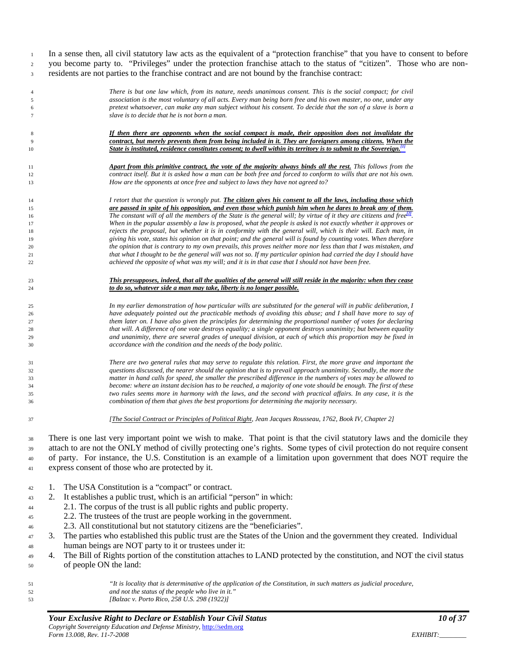In a sense then, all civil statutory law acts as the equivalent of a "protection franchise" that you have to consent to before you become party to. "Privileges" under the protection franchise attach to the status of "citizen". Those who are non-residents are not parties to the franchise contract and are not bound by the franchise contract:

 *There is but one law which, from its nature, needs unanimous consent. This is the social compact; for civil association is the most voluntary of all acts. Every man being born free and his own master, no one, under any pretext whatsoever, can make any man subject without his consent. To decide that the son of a slave is born a slave is to decide that he is not born a man. If then there are opponents when the social compact is made, their opposition does not invalidate the contract, but merely prevents them from being included in it. They are foreigners among citizens. When the State is instituted, residence constitutes consent; to dwell within its territory is to submit to the Sovereign.[\[1\]](http://famguardian.org/Subjects/Taxes/Remedies/DomicileBasisForTaxation.htm#_ftn1) Apart from this primitive contract, the vote of the majority always binds all the rest. This follows from the contract itself. But it is asked how a man can be both free and forced to conform to wills that are not his own. How are the opponents at once free and subject to laws they have not agreed to? I retort that the question is wrongly put. The citizen gives his consent to all the laws, including those which are passed in spite of his opposition, and even those which punish him when he dares to break any of them. The constant will of all the members of the State is the general will; by virtue of it they are citizens and free<sup>[\[2\]](http://famguardian.org/Subjects/Taxes/Remedies/DomicileBasisForTaxation.htm#_ftn2)</sup>. When in the popular assembly a law is proposed, what the people is asked is not exactly whether it approves or rejects the proposal, but whether it is in conformity with the general will, which is their will. Each man, in giving his vote, states his opinion on that point; and the general will is found by counting votes. When therefore the opinion that is contrary to my own prevails, this proves neither more nor less than that I was mistaken, and that what I thought to be the general will was not so. If my particular opinion had carried the day I should have achieved the opposite of what was my will; and it is in that case that I should not have been free. This presupposes, indeed, that all the qualities of the general will still reside in the majority: when they cease to do so, whatever side a man may take, liberty is no longer possible. In my earlier demonstration of how particular wills are substituted for the general will in public deliberation, I have adequately pointed out the practicable methods of avoiding this abuse; and I shall have more to say of them later on. I have also given the principles for determining the proportional number of votes for declaring that will. A difference of one vote destroys equality; a single opponent destroys unanimity; but between equality and unanimity, there are several grades of unequal division, at each of which this proportion may be fixed in accordance with the condition and the needs of the body politic. There are two general rules that may serve to regulate this relation. First, the more grave and important the questions discussed, the nearer should the opinion that is to prevail approach unanimity. Secondly, the more the matter in hand calls for speed, the smaller the prescribed difference in the numbers of votes may be allowed to become: where an instant decision has to be reached, a majority of one vote should be enough. The first of these two rules seems more in harmony with the laws, and the second with practical affairs. In any case, it is the combination of them that gives the best proportions for determining the majority necessary. [The Social Contract or Principles of Political Right, Jean Jacques Rousseau, 1762, Book IV, Chapter 2]* There is one last very important point we wish to make. That point is that the civil statutory laws and the domicile they attach to are not the ONLY method of civilly protecting one's rights. Some types of civil protection do not require consent of party. For instance, the U.S. Constitution is an example of a limitation upon government that does NOT require the express consent of those who are protected by it. 1. The USA Constitution is a "compact" or contract. 2. It establishes a public trust, which is an artificial "person" in which: 2.1. The corpus of the trust is all public rights and public property. 2.2. The trustees of the trust are people working in the government. 2.3. All constitutional but not statutory citizens are the "beneficiaries". 3. The parties who established this public trust are the States of the Union and the government they created. Individual human beings are NOT party to it or trustees under it: 4. The Bill of Rights portion of the constitution attaches to LAND protected by the constitution, and NOT the civil status of people ON the land: *"It is locality that is determinative of the application of the Constitution, in such matters as judicial procedure, and not the status of the people who live in it." [Balzac v. Porto Rico, 258 U.S. 298 (1922)]*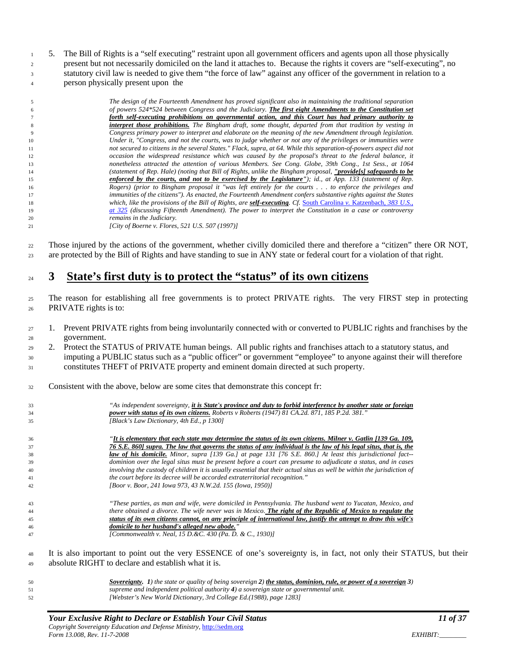5. The Bill of Rights is a "self executing" restraint upon all government officers and agents upon all those physically present but not necessarily domiciled on the land it attaches to. Because the rights it covers are "self-executing", no statutory civil law is needed to give them "the force of law" against any officer of the government in relation to a person physically present upon the



 Those injured by the actions of the government, whether civilly domiciled there and therefore a "citizen" there OR NOT, are protected by the Bill of Rights and have standing to sue in ANY state or federal court for a violation of that right.

### <span id="page-10-0"></span>**3 State's first duty is to protect the "status" of its own citizens**

- The reason for establishing all free governments is to protect PRIVATE rights. The very FIRST step in protecting PRIVATE rights is to:
- 1. Prevent PRIVATE rights from being involuntarily connected with or converted to PUBLIC rights and franchises by the government.
- 2. Protect the STATUS of PRIVATE human beings. All public rights and franchises attach to a statutory status, and imputing a PUBLIC status such as a "public officer" or government "employee" to anyone against their will therefore constitutes THEFT of PRIVATE property and eminent domain directed at such property.
- Consistent with the above, below are some cites that demonstrate this concept fr:

| 33 | "As independent sovereignty, it is State's province and duty to forbid interference by another state or foreign         |  |  |
|----|-------------------------------------------------------------------------------------------------------------------------|--|--|
| 34 | power with status of its own citizens. Roberts v Roberts (1947) 81 CA.2d. 871, 185 P.2d. 381."                          |  |  |
| 35 | [Black's Law Dictionary, 4th Ed., p 1300]                                                                               |  |  |
| 36 | "It is elementary that each state may determine the status of its own citizens. Milner v. Gatlin [139 Ga. 109,          |  |  |
| 37 | 76 S.E. 860] supra. The law that governs the status of any individual is the law of his legal situs, that is, the       |  |  |
| 38 | <b>law of his domicile.</b> Minor, supra [139 Ga.] at page 131 [76 S.E. 860.] At least this jurisdictional fact--       |  |  |
| 39 | dominion over the legal situs must be present before a court can presume to adjudicate a status, and in cases           |  |  |
| 40 | involving the custody of children it is usually essential that their actual situs as well be within the jurisdiction of |  |  |
| 41 | the court before its decree will be accorded extraterritorial recognition."                                             |  |  |
| 42 | [Boor v. Boor, 241 Iowa 973, 43 N.W.2d. 155 (Iowa, 1950)]                                                               |  |  |
| 43 | "These parties, as man and wife, were domiciled in Pennsylvania. The husband went to Yucatan, Mexico, and               |  |  |
| 44 | there obtained a divorce. The wife never was in Mexico. The right of the Republic of Mexico to regulate the             |  |  |
| 45 | status of its own citizens cannot, on any principle of international law, justify the attempt to draw this wife's       |  |  |
| 46 | domicile to her husband's alleged new abode."                                                                           |  |  |
| 47 | [Commonwealth v. Neal, 15 D.&C. 430 (Pa. D. & C., 1930)]                                                                |  |  |
| 48 | It is also important to point out the very ESSENCE of one's sovereignty is, in fact, not only their STATUS, but their   |  |  |
|    |                                                                                                                         |  |  |
| 49 | absolute RIGHT to declare and establish what it is.                                                                     |  |  |

 *Sovereignty. 1) the state or quality of being sovereign 2) the status, dominion, rule, or power of a sovereign 3) supreme and independent political authority 4) a sovereign state or governmental unit. [Webster's New World Dictionary, 3rd College Ed.(1988), page 1283]*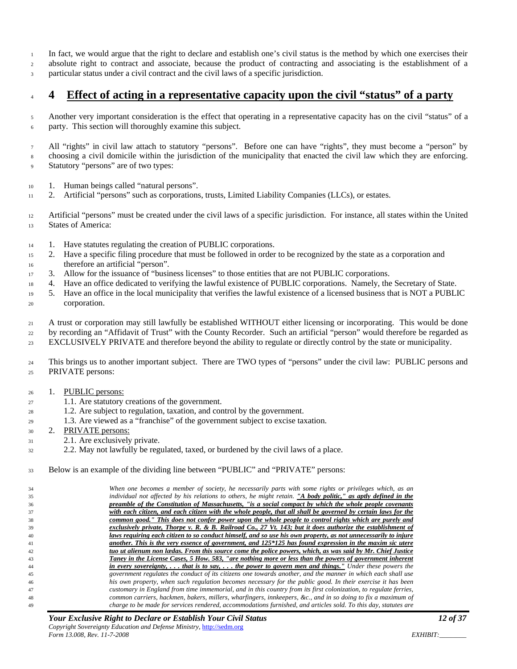In fact, we would argue that the right to declare and establish one's civil status is the method by which one exercises their

absolute right to contract and associate, because the product of contracting and associating is the establishment of a

<span id="page-11-0"></span>particular status under a civil contract and the civil laws of a specific jurisdiction.

# **4 Effect of acting in a representative capacity upon the civil "status" of a party**

 Another very important consideration is the effect that operating in a representative capacity has on the civil "status" of a party. This section will thoroughly examine this subject.

 All "rights" in civil law attach to statutory "persons". Before one can have "rights", they must become a "person" by choosing a civil domicile within the jurisdiction of the municipality that enacted the civil law which they are enforcing. Statutory "persons" are of two types:

- 1. Human beings called "natural persons".
- 2. Artificial "persons" such as corporations, trusts, Limited Liability Companies (LLCs), or estates.
- Artificial "persons" must be created under the civil laws of a specific jurisdiction. For instance, all states within the United States of America:
- 14 1. Have statutes regulating the creation of PUBLIC corporations.
- 2. Have a specific filing procedure that must be followed in order to be recognized by the state as a corporation and 16 therefore an artificial "person".
- 3. Allow for the issuance of "business licenses" to those entities that are not PUBLIC corporations.
- 4. Have an office dedicated to verifying the lawful existence of PUBLIC corporations. Namely, the Secretary of State.
- 5. Have an office in the local municipality that verifies the lawful existence of a licensed business that is NOT a PUBLIC corporation.

A trust or corporation may still lawfully be established WITHOUT either licensing or incorporating. This would be done

by recording an "Affidavit of Trust" with the County Recorder. Such an artificial "person" would therefore be regarded as

EXCLUSIVELY PRIVATE and therefore beyond the ability to regulate or directly control by the state or municipality.

 This brings us to another important subject. There are TWO types of "persons" under the civil law: PUBLIC persons and PRIVATE persons:

#### 1. PUBLIC persons:

- 1.1. Are statutory creations of the government.
- 1.2. Are subject to regulation, taxation, and control by the government.
- 1.3. Are viewed as a "franchise" of the government subject to excise taxation.

#### 2. PRIVATE persons:

- 2.1. Are exclusively private.
- 2.2. May not lawfully be regulated, taxed, or burdened by the civil laws of a place.

#### Below is an example of the dividing line between "PUBLIC" and "PRIVATE" persons:

| 34 | When one becomes a member of society, he necessarily parts with some rights or privileges which, as an                |
|----|-----------------------------------------------------------------------------------------------------------------------|
| 35 | individual not affected by his relations to others, he might retain. "A <b>body politic," as aptly defined in the</b> |
| 36 | preamble of the Constitution of Massachusetts, "is a social compact by which the whole people covenants               |
| 37 | with each citizen, and each citizen with the whole people, that all shall be governed by certain laws for the         |
| 38 | common good." This does not confer power upon the whole people to control rights which are purely and                 |
| 39 | exclusively private, Thorpe v. R. & B. Railroad Co., 27 Vt. 143; but it does authorize the establishment of           |
| 40 | laws requiring each citizen to so conduct himself, and so use his own property, as not unnecessarily to injure        |
| 41 | another. This is the very essence of government, and 125*125 has found expression in the maxim sic utere              |
| 42 | tuo ut alienum non lædas. From this source come the police powers, which, as was said by Mr. Chief Justice            |
| 43 | Taney in the License Cases, 5 How. 583, "are nothing more or less than the powers of government inherent              |
| 44 | in every sovereignty, $\dots$ that is to say, $\dots$ the power to govern men and things." Under these powers the     |
| 45 | government regulates the conduct of its citizens one towards another, and the manner in which each shall use          |
| 46 | his own property, when such regulation becomes necessary for the public good. In their exercise it has been           |
| 47 | customary in England from time immemorial, and in this country from its first colonization, to regulate ferries,      |
| 48 | common carriers, hackmen, bakers, millers, wharfingers, innkeepers, &c., and in so doing to fix a maximum of          |
| 49 | charge to be made for services rendered, accommodations furnished, and articles sold. To this day, statutes are       |
|    |                                                                                                                       |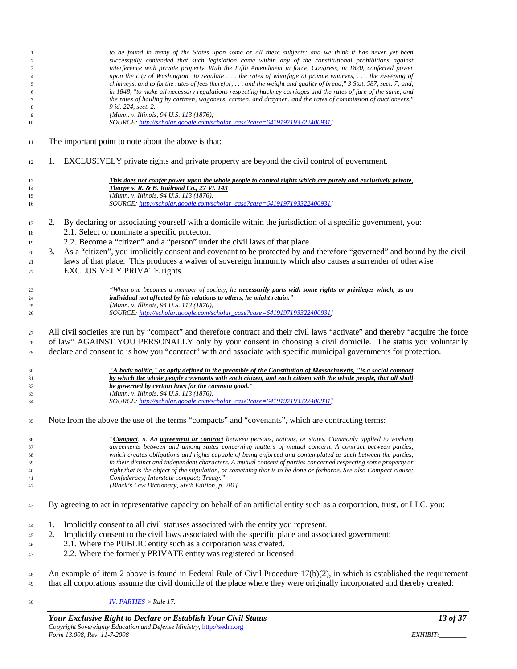| 1                    | to be found in many of the States upon some or all these subjects; and we think it has never yet been                                                                                                                                                                                                                                         |
|----------------------|-----------------------------------------------------------------------------------------------------------------------------------------------------------------------------------------------------------------------------------------------------------------------------------------------------------------------------------------------|
| $\overline{2}$       | successfully contended that such legislation came within any of the constitutional prohibitions against                                                                                                                                                                                                                                       |
| 3                    | interference with private property. With the Fifth Amendment in force, Congress, in 1820, conferred power                                                                                                                                                                                                                                     |
| $\overline{4}$       | upon the city of Washington "to regulate $\dots$ the rates of wharfage at private wharves, $\dots$ the sweeping of                                                                                                                                                                                                                            |
| 5                    | chimneys, and to fix the rates of fees therefor, $\ldots$ and the weight and quality of bread," 3 Stat. 587, sect. 7; and,                                                                                                                                                                                                                    |
| 6                    | in 1848, "to make all necessary regulations respecting hackney carriages and the rates of fare of the same, and                                                                                                                                                                                                                               |
| $\overline{7}$       | the rates of hauling by cartmen, wagoners, carmen, and draymen, and the rates of commission of auctioneers,"                                                                                                                                                                                                                                  |
| 8                    | 9 id. 224, sect. 2.                                                                                                                                                                                                                                                                                                                           |
| 9                    | [Munn. v. Illinois, 94 U.S. 113 (1876),                                                                                                                                                                                                                                                                                                       |
| 10                   | SOURCE: http://scholar.google.com/scholar_case?case=64191971933224009311                                                                                                                                                                                                                                                                      |
| 11                   | The important point to note about the above is that:                                                                                                                                                                                                                                                                                          |
| 12                   | EXCLUSIVELY private rights and private property are beyond the civil control of government.                                                                                                                                                                                                                                                   |
| 13                   | This does not confer power upon the whole people to control rights which are purely and exclusively private,                                                                                                                                                                                                                                  |
| 14                   | Thorpe v. R. & B. Railroad Co., 27 Vt. 143                                                                                                                                                                                                                                                                                                    |
| 15                   | [Munn. v. Illinois, 94 U.S. 113 (1876),                                                                                                                                                                                                                                                                                                       |
| 16                   | SOURCE: http://scholar.google.com/scholar_case?case=6419197193322400931]                                                                                                                                                                                                                                                                      |
| 17                   | 2. By declaring or associating yourself with a domicile within the jurisdiction of a specific government, you:                                                                                                                                                                                                                                |
| 18                   | 2.1. Select or nominate a specific protector.                                                                                                                                                                                                                                                                                                 |
| 19                   | 2.2. Become a "citizen" and a "person" under the civil laws of that place.                                                                                                                                                                                                                                                                    |
| 20<br>21<br>22       | As a "citizen", you implicitly consent and covenant to be protected by and therefore "governed" and bound by the civil<br>3.<br>laws of that place. This produces a waiver of sovereign immunity which also causes a surrender of otherwise<br>EXCLUSIVELY PRIVATE rights.                                                                    |
| 23                   | "When one becomes a member of society, he necessarily parts with some rights or privileges which, as an                                                                                                                                                                                                                                       |
| 24                   | individual not affected by his relations to others, he might retain."                                                                                                                                                                                                                                                                         |
| 25                   | [Munn. v. Illinois, 94 U.S. 113 (1876),                                                                                                                                                                                                                                                                                                       |
| 26                   | SOURCE: http://scholar.google.com/scholar_case?case=6419197193322400931]                                                                                                                                                                                                                                                                      |
| 27                   | All civil societies are run by "compact" and therefore contract and their civil laws "activate" and thereby "acquire the force                                                                                                                                                                                                                |
| 28                   | of law" AGAINST YOU PERSONALLY only by your consent in choosing a civil domicile. The status you voluntarily                                                                                                                                                                                                                                  |
| 29                   | declare and consent to is how you "contract" with and associate with specific municipal governments for protection.                                                                                                                                                                                                                           |
| 30                   | "A body politic," as aptly defined in the preamble of the Constitution of Massachusetts, "is a social compact                                                                                                                                                                                                                                 |
| 31                   | by which the whole people covenants with each citizen, and each citizen with the whole people, that all shall                                                                                                                                                                                                                                 |
| 32                   | be governed by certain laws for the common good."                                                                                                                                                                                                                                                                                             |
| 33                   | [Munn. v. Illinois, 94 U.S. 113 (1876),                                                                                                                                                                                                                                                                                                       |
| 34                   | SOURCE: http://scholar.google.com/scholar_case?case=64191971933224009311                                                                                                                                                                                                                                                                      |
| 35                   | Note from the above the use of the terms "compacts" and "covenants", which are contracting terms:                                                                                                                                                                                                                                             |
| 36                   | "Compact, n. An agreement or contract between persons, nations, or states. Commonly applied to working                                                                                                                                                                                                                                        |
| 37                   | agreements between and among states concerning matters of mutual concern. A contract between parties,                                                                                                                                                                                                                                         |
| 38                   | which creates obligations and rights capable of being enforced and contemplated as such between the parties,                                                                                                                                                                                                                                  |
| 39                   | in their distinct and independent characters. A mutual consent of parties concerned respecting some property or                                                                                                                                                                                                                               |
| 40                   | right that is the object of the stipulation, or something that is to be done or forborne. See also Compact clause;                                                                                                                                                                                                                            |
| 41                   | Confederacy; Interstate compact; Treaty."                                                                                                                                                                                                                                                                                                     |
| 42                   | [Black's Law Dictionary, Sixth Edition, p. 281]                                                                                                                                                                                                                                                                                               |
| 43                   | By agreeing to act in representative capacity on behalf of an artificial entity such as a corporation, trust, or LLC, you:                                                                                                                                                                                                                    |
| 44<br>45<br>46<br>47 | Implicitly consent to all civil statuses associated with the entity you represent.<br>1.<br>2.<br>Implicitly consent to the civil laws associated with the specific place and associated government:<br>2.1. Where the PUBLIC entity such as a corporation was created.<br>2.2. Where the formerly PRIVATE entity was registered or licensed. |
| 48                   | An example of item 2 above is found in Federal Rule of Civil Procedure $17(b)(2)$ , in which is established the requirement                                                                                                                                                                                                                   |
| 49                   | that all corporations assume the civil domicile of the place where they were originally incorporated and thereby created:                                                                                                                                                                                                                     |

*[IV. PARTIES >](http://www.law.cornell.edu/rules/frcp/index.html#chapter_iv) Rule 17.*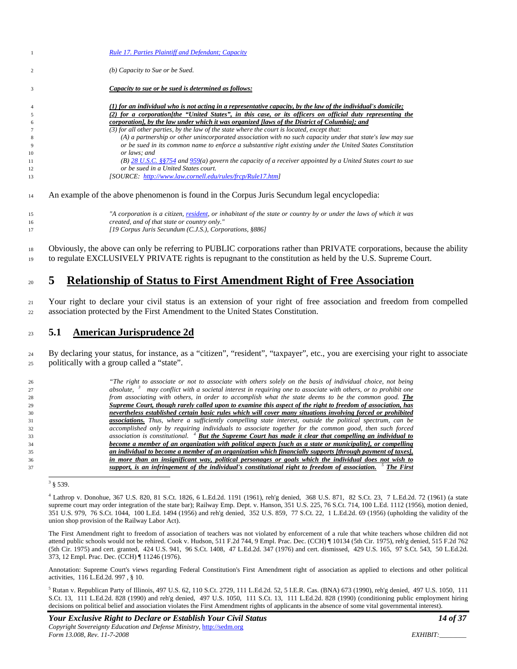|                | Rule 17. Parties Plaintiff and Defendant; Capacity                                                             |
|----------------|----------------------------------------------------------------------------------------------------------------|
| $\overline{c}$ | (b) Capacity to Sue or be Sued.                                                                                |
| 3              | Capacity to sue or be sued is determined as follows:                                                           |
| $\overline{4}$ | (1) for an individual who is not acting in a representative capacity, by the law of the individual's domicile; |
| 5              | (2) for a corporation the "United States", in this case, or its officers on official duty representing the     |
| 6              | corporation], by the law under which it was organized flaws of the District of Columbia]; and                  |
| $\overline{7}$ | $(3)$ for all other parties, by the law of the state where the court is located, except that:                  |
| 8              | (A) a partnership or other unincorporated association with no such capacity under that state's law may sue     |
| 9              | or be sued in its common name to enforce a substantive right existing under the United States Constitution     |
| 10             | or laws; and                                                                                                   |
| 11             | (B) 28 U.S.C. §§754 and 959(a) govern the capacity of a receiver appointed by a United States court to sue     |
| 12             | or be sued in a United States court.                                                                           |
| 13             | [SOURCE: http://www.law.cornell.edu/rules/frcp/Rule17.htm]                                                     |
| 14             | An example of the above phenomenon is found in the Corpus Juris Secundum legal encyclopedia:                   |

 *"A corporation is a citizen[, resident,](http://famguardian.org/TaxFreedom/CitesByTopic/resident.htm) or inhabitant of the state or country by or under the laws of which it was created, and of that state or country only." [19 Corpus Juris Secundum (C.J.S.), Corporations, §886]* 

 Obviously, the above can only be referring to PUBLIC corporations rather than PRIVATE corporations, because the ability to regulate EXCLUSIVELY PRIVATE rights is repugnant to the constitution as held by the U.S. Supreme Court.

# <span id="page-13-0"></span>**5 Relationship of Status to First Amendment Right of Free Association**

 Your right to declare your civil status is an extension of your right of free association and freedom from compelled association protected by the First Amendment to the United States Constitution.

#### <span id="page-13-1"></span>**5.1 American Jurisprudence 2d**

 By declaring your status, for instance, as a "citizen", "resident", "taxpayer", etc., you are exercising your right to associate politically with a group called a "state".

 *"The right to associate or not to associate with others solely on the basis of individual choice, not being absolute, <sup>3</sup> may conflict with a societal interest in requiring one to associate with others, or to prohibit one from associating with others, in order to accomplish what the state deems to be the common good. The Supreme Court, though rarely called upon to examine this aspect of the right to freedom of association, has nevertheless established certain basic rules which will cover many situations involving forced or prohibited associations. Thus, where a sufficiently compelling state interest, outside the political spectrum, can be accomplished only by requiring individuals to associate together for the common good, then such forced*  association is constitutional. <sup>4</sup> But the Supreme Court has made it clear that compelling an individual to *become a member of an organization with political aspects [such as a state or municipality], or compelling an individual to become a member of an organization which financially supports [through payment of taxes], in more than an insignificant way, political personages or goals which the individual does not wish to support, is an infringement of the individual's constitutional right to freedom of association. <sup>5</sup> The First* 

§ 539.

The First Amendment right to freedom of association of teachers was not violated by enforcement of a rule that white teachers whose children did not attend public schools would not be rehired. Cook v. Hudson, 511 F.2d 744, 9 Empl. Prac. Dec. (CCH) ¶ 10134 (5th Cir. 1975), reh'g denied, 515 F.2d 762 (5th Cir. 1975) and cert. granted, 424 U.S. 941, 96 S.Ct. 1408, 47 L.Ed.2d. 347 (1976) and cert. dismissed, 429 U.S. 165, 97 S.Ct. 543, 50 L.Ed.2d. 373, 12 Empl. Prac. Dec. (CCH) ¶ 11246 (1976).

Annotation: Supreme Court's views regarding Federal Constitution's First Amendment right of association as applied to elections and other political activities, 116 L.Ed.2d. 997 , § 10.

 Rutan v. Republican Party of Illinois, 497 U.S. 62, 110 S.Ct. 2729, 111 L.Ed.2d. 52, 5 I.E.R. Cas. (BNA) 673 (1990), reh'g denied, 497 U.S. 1050, 111 S.Ct. 13, 111 L.Ed.2d. 828 (1990) and reh'g denied, 497 U.S. 1050, 111 S.Ct. 13, 111 L.Ed.2d. 828 (1990) (conditioning public employment hiring decisions on political belief and association violates the First Amendment rights of applicants in the absence of some vital governmental interest).

 Lathrop v. Donohue, 367 U.S. 820, 81 S.Ct. 1826, 6 L.Ed.2d. 1191 (1961), reh'g denied, 368 U.S. 871, 82 S.Ct. 23, 7 L.Ed.2d. 72 (1961) (a state supreme court may order integration of the state bar); Railway Emp. Dept. v. Hanson, 351 U.S. 225, 76 S.Ct. 714, 100 L.Ed. 1112 (1956), motion denied, 351 U.S. 979, 76 S.Ct. 1044, 100 L.Ed. 1494 (1956) and reh'g denied, 352 U.S. 859, 77 S.Ct. 22, 1 L.Ed.2d. 69 (1956) (upholding the validity of the union shop provision of the Railway Labor Act).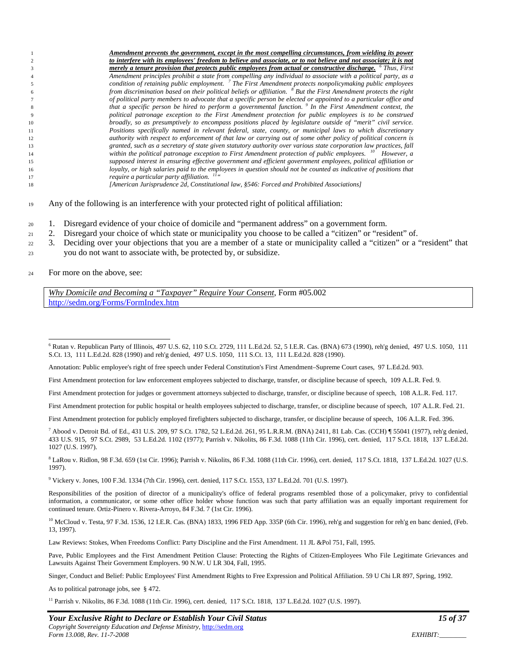*Amendment prevents the government, except in the most compelling circumstances, from wielding its power to interfere with its employees' freedom to believe and associate, or to not believe and not associate; it is not merely a tenure provision that protects public employees from actual or constructive discharge.*<sup>*6</sup> Thus, First*</sup> *Amendment principles prohibit a state from compelling any individual to associate with a political party, as a condition of retaining public employment.* <sup>7</sup> *The First Amendment protects nonpolicymaking public employees from discrimination based on their political beliefs or affiliation.* <sup>*8*</sup> *But the First Amendment protects the right of political party members to advocate that a specific person be elected or appointed to a particular office and that a specific person be hired to perform a governmental function.* <sup>9</sup> In the First Amendment context, the *political patronage exception to the First Amendment protection for public employees is to be construed broadly, so as presumptively to encompass positions placed by legislature outside of "merit" civil service. Positions specifically named in relevant federal, state, county, or municipal laws to which discretionary authority with respect to enforcement of that law or carrying out of some other policy of political concern is granted, such as a secretary of state given statutory authority over various state corporation law practices, fall within the political patronage exception to First Amendment protection of public employees.* <sup>*10</sup> However, a*</sup> *supposed interest in ensuring effective government and efficient government employees, political affiliation or loyalty, or high salaries paid to the employees in question should not be counted as indicative of positions that require a particular party affiliation.* <sup>11</sup> <sup>11</sup> *[American Jurisprudence 2d, Constitutional law, §546: Forced and Prohibited Associations]*

- <sup>19</sup> Any of the following is an interference with your protected right of political affiliation:
- <sup>20</sup> 1. Disregard evidence of your choice of domicile and "permanent address" on a government form.
- <sup>21</sup> 2. Disregard your choice of which state or municipality you choose to be called a "citizen" or "resident" of.
- <sup>22</sup> 3. Deciding over your objections that you are a member of a state or municipality called a "citizen" or a "resident" that
- <sup>23</sup> you do not want to associate with, be protected by, or subsidize.
- <sup>24</sup> For more on the above, see:

*Why Domicile and Becoming a "Taxpayer" Require Your Consent*, Form #05.002 <http://sedm.org/Forms/FormIndex.htm>

First Amendment protection for law enforcement employees subjected to discharge, transfer, or discipline because of speech, 109 A.L.R. Fed. 9.

First Amendment protection for judges or government attorneys subjected to discharge, transfer, or discipline because of speech, 108 A.L.R. Fed. 117.

First Amendment protection for public hospital or health employees subjected to discharge, transfer, or discipline because of speech, 107 A.L.R. Fed. 21.

First Amendment protection for publicly employed firefighters subjected to discharge, transfer, or discipline because of speech, 106 A.L.R. Fed. 396.

<sup>7</sup> Abood v. Detroit Bd. of Ed., 431 U.S. 209, 97 S.Ct. 1782, 52 L.Ed.2d. 261, 95 L.R.R.M. (BNA) 2411, 81 Lab. Cas. (CCH) ¶ 55041 (1977), reh'g denied, 433 U.S. 915, 97 S.Ct. 2989, 53 L.Ed.2d. 1102 (1977); Parrish v. Nikolits, 86 F.3d. 1088 (11th Cir. 1996), cert. denied, 117 S.Ct. 1818, 137 L.Ed.2d. 1027 (U.S. 1997).

<sup>8</sup> LaRou v. Ridlon, 98 F.3d. 659 (1st Cir. 1996); Parrish v. Nikolits, 86 F.3d. 1088 (11th Cir. 1996), cert. denied, 117 S.Ct. 1818, 137 L.Ed.2d. 1027 (U.S. 1997).

<sup>9</sup> Vickery v. Jones, 100 F.3d. 1334 (7th Cir. 1996), cert. denied, 117 S.Ct. 1553, 137 L.Ed.2d. 701 (U.S. 1997).

Responsibilities of the position of director of a municipality's office of federal programs resembled those of a policymaker, privy to confidential information, a communicator, or some other office holder whose function was such that party affiliation was an equally important requirement for continued tenure. Ortiz-Pinero v. Rivera-Arroyo, 84 F.3d. 7 (1st Cir. 1996).

 $^{10}$  McCloud v. Testa, 97 F.3d. 1536, 12 I.E.R. Cas. (BNA) 1833, 1996 FED App. 335P (6th Cir. 1996), reh'g and suggestion for reh'g en banc denied, (Feb. 13, 1997).

Law Reviews: Stokes, When Freedoms Conflict: Party Discipline and the First Amendment. 11 JL &Pol 751, Fall, 1995.

Pave, Public Employees and the First Amendment Petition Clause: Protecting the Rights of Citizen-Employees Who File Legitimate Grievances and Lawsuits Against Their Government Employers. 90 N.W. U LR 304, Fall, 1995.

Singer, Conduct and Belief: Public Employees' First Amendment Rights to Free Expression and Political Affiliation. 59 U Chi LR 897, Spring, 1992.

As to political patronage jobs, see § 472.

 <sup>6</sup> Rutan v. Republican Party of Illinois, 497 U.S. 62, 110 S.Ct. 2729, 111 L.Ed.2d. 52, 5 I.E.R. Cas. (BNA) 673 (1990), reh'g denied, 497 U.S. 1050, 111 S.Ct. 13, 111 L.Ed.2d. 828 (1990) and reh'g denied, 497 U.S. 1050, 111 S.Ct. 13, 111 L.Ed.2d. 828 (1990).

Annotation: Public employee's right of free speech under Federal Constitution's First Amendment–Supreme Court cases, 97 L.Ed.2d. 903.

<sup>11</sup> Parrish v. Nikolits, 86 F.3d. 1088 (11th Cir. 1996), cert. denied, 117 S.Ct. 1818, 137 L.Ed.2d. 1027 (U.S. 1997).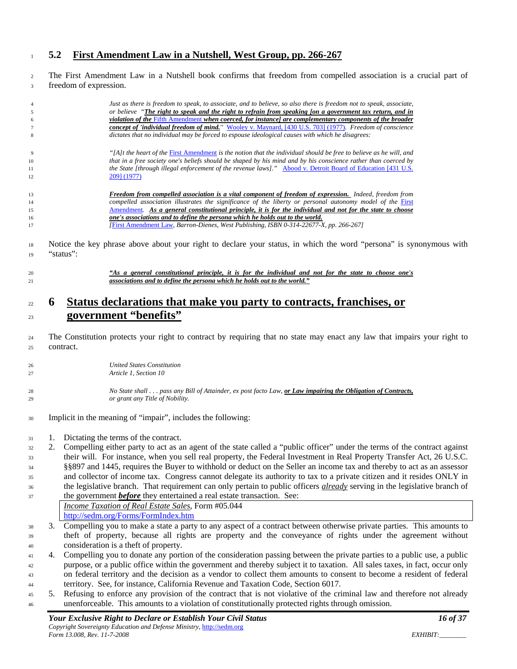#### <span id="page-15-0"></span>**5.2 First Amendment Law in a Nutshell, West Group, pp. 266-267**

 The First Amendment Law in a Nutshell book confirms that freedom from compelled association is a crucial part of freedom of expression.

|    | Just as there is freedom to speak, to associate, and to believe, so also there is freedom not to speak, associate,  |
|----|---------------------------------------------------------------------------------------------------------------------|
| 5  | or believe "The right to speak and the right to refrain from speaking [on a government tax return, and in           |
| -6 | violation of the Fifth Amendment when coerced, for instance] are complementary components of the broader            |
|    | concept of 'individual freedom of mind." Wooley v. Maynard, [430 U.S. 703] (1977). Freedom of conscience            |
| 8  | dictates that no individual may be forced to espouse ideological causes with which he disagrees:                    |
| 9  | "[A]t the heart of the First Amendment is the notion that the individual should be free to believe as he will, and  |
| 10 | that in a free society one's beliefs should be shaped by his mind and by his conscience rather than coerced by      |
| 11 | the State [through illegal enforcement of the revenue laws]." Abood v. Detroit Board of Education [431 U.S.         |
| 12 | 209] (1977)                                                                                                         |
| 13 | Freedom from compelled association is a vital component of freedom of expression. Indeed, freedom from              |
| 14 | compelled association illustrates the significance of the liberty or personal autonomy model of the First           |
| 15 | Amendment. As a general constitutional principle, it is for the individual and not for the state to choose          |
| 16 | one's associations and to define the persona which he holds out to the world.                                       |
| 17 | [First Amendment Law, Barron-Dienes, West Publishing, ISBN 0-314-22677-X, pp. 266-267]                              |
| 18 | Notice the key phrase above about your right to declare your status, in which the word "persona" is synonymous with |

- "status":
- 

 *"As a general constitutional principle, it is for the individual and not for the state to choose one's associations and to define the persona which he holds out to the world."*

## <span id="page-15-1"></span> **6 Status declarations that make you party to contracts, franchises, or government "benefits"**

 The Constitution protects your right to contract by requiring that no state may enact any law that impairs your right to contract.

 *United States Constitution Article 1, Section 10*

 *No State shall . . . pass any Bill of Attainder, ex post facto Law, or Law impairing the Obligation of Contracts, or grant any Title of Nobility.* 

- Implicit in the meaning of "impair", includes the following:
- 1. Dictating the terms of the contract.

 2. Compelling either party to act as an agent of the state called a "public officer" under the terms of the contract against their will. For instance, when you sell real property, the Federal Investment in Real Property Transfer Act, 26 U.S.C. §§897 and 1445, requires the Buyer to withhold or deduct on the Seller an income tax and thereby to act as an assessor and collector of income tax. Congress cannot delegate its authority to tax to a private citizen and it resides ONLY in the legislative branch. That requirement can only pertain to public officers *already* serving in the legislative branch of

<sup>37</sup> the government *before* they entertained a real estate transaction. See: *Income Taxation of Real Estate Sales*, Form #05.044

- <http://sedm.org/Forms/FormIndex.htm>
- 3. Compelling you to make a state a party to any aspect of a contract between otherwise private parties. This amounts to theft of property, because all rights are property and the conveyance of rights under the agreement without consideration is a theft of property.
- 4. Compelling you to donate any portion of the consideration passing between the private parties to a public use, a public purpose, or a public office within the government and thereby subject it to taxation. All sales taxes, in fact, occur only on federal territory and the decision as a vendor to collect them amounts to consent to become a resident of federal territory. See, for instance, California Revenue and Taxation Code, Section 6017.
- 5. Refusing to enforce any provision of the contract that is not violative of the criminal law and therefore not already unenforceable. This amounts to a violation of constitutionally protected rights through omission.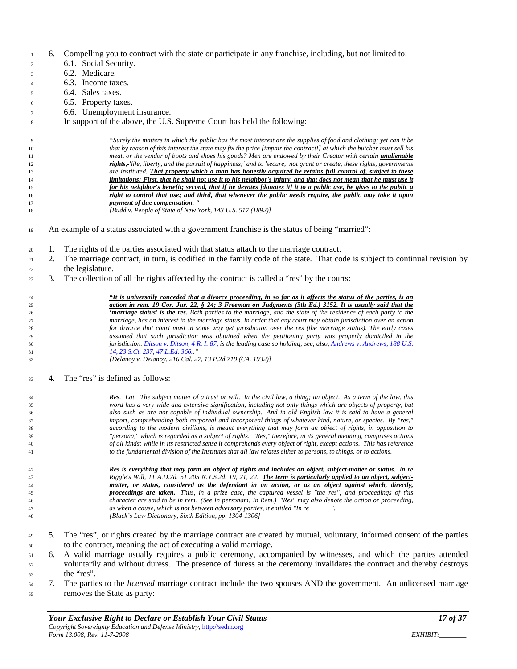- 6. Compelling you to contract with the state or participate in any franchise, including, but not limited to:
- 6.1. Social Security.
- 6.2. Medicare.
- 6.3. Income taxes.
- 6.4. Sales taxes.
- 6.5. Property taxes.
- 6.6. Unemployment insurance.
- In support of the above, the U.S. Supreme Court has held the following:

| 9  |                                                                                                                         | "Surely the matters in which the public has the most interest are the supplies of food and clothing; yet can it be         |  |  |  |
|----|-------------------------------------------------------------------------------------------------------------------------|----------------------------------------------------------------------------------------------------------------------------|--|--|--|
| 10 |                                                                                                                         | that by reason of this interest the state may fix the price [impair the contract!] at which the butcher must sell his      |  |  |  |
| 11 |                                                                                                                         | meat, or the vendor of boots and shoes his goods? Men are endowed by their Creator with certain <b>unalienable</b>         |  |  |  |
| 12 | rights,-'life, liberty, and the pursuit of happiness;' and to 'secure,' not grant or create, these rights, governments  |                                                                                                                            |  |  |  |
| 13 | are instituted. That property which a man has honestly acquired he retains full control of, subject to these            |                                                                                                                            |  |  |  |
| 14 | limitations: First, that he shall not use it to his neighbor's injury, and that does not mean that he must use it       |                                                                                                                            |  |  |  |
| 15 | for his neighbor's benefit; second, that if he devotes <i>[donates it]</i> it to a public use, he gives to the public a |                                                                                                                            |  |  |  |
| 16 |                                                                                                                         | right to control that use; and third, that whenever the public needs require, the public may take it upon                  |  |  |  |
| 17 |                                                                                                                         | payment of due compensation. "                                                                                             |  |  |  |
| 18 |                                                                                                                         | [Budd v. People of State of New York, 143 U.S. 517 (1892)]                                                                 |  |  |  |
|    |                                                                                                                         |                                                                                                                            |  |  |  |
| 19 |                                                                                                                         | An example of a status associated with a government franchise is the status of being "married":                            |  |  |  |
| 20 | 1.                                                                                                                      | The rights of the parties associated with that status attach to the marriage contract.                                     |  |  |  |
|    | 2.                                                                                                                      | The marriage contract, in turn, is codified in the family code of the state. That code is subject to continual revision by |  |  |  |
| 21 |                                                                                                                         |                                                                                                                            |  |  |  |
| 22 |                                                                                                                         | the legislature.                                                                                                           |  |  |  |
| 23 | 3.                                                                                                                      | The collection of all the rights affected by the contract is called a "res" by the courts:                                 |  |  |  |
|    |                                                                                                                         |                                                                                                                            |  |  |  |
| 24 |                                                                                                                         | "It is universally conceded that a divorce proceeding, in so far as it affects the status of the parties, is an            |  |  |  |
| 25 |                                                                                                                         | action in rem. 19 Cor. Jur. 22, § 24; 3 Freeman on Judgments (5th Ed.) 3152. It is usually said that the                   |  |  |  |
| 26 |                                                                                                                         | <i>'marriage status' is the res.</i> Both parties to the marriage, and the state of the residence of each party to the     |  |  |  |
| 27 |                                                                                                                         | marriage, has an interest in the marriage status. In order that any court may obtain jurisdiction over an action           |  |  |  |
| 28 |                                                                                                                         | for divorce that court must in some way get jurisdiction over the res (the marriage status). The early cases               |  |  |  |
| 29 |                                                                                                                         | assumed that such jurisdiction was obtained when the petitioning party was properly domiciled in the                       |  |  |  |
| 30 |                                                                                                                         | jurisdiction. Ditson v. Ditson, 4 R. I. 87, is the leading case so holding; see, also, Andrews v. Andrews, 188 U.S.        |  |  |  |
| 31 |                                                                                                                         | 14, 23 S.Ct. 237, 47 L.Ed. 366"                                                                                            |  |  |  |
| 32 |                                                                                                                         | [Delanoy v. Delanoy, 216 Cal. 27, 13 P.2d 719 (CA. 1932)]                                                                  |  |  |  |
| 33 | 4.                                                                                                                      | The "res" is defined as follows:                                                                                           |  |  |  |
| 34 |                                                                                                                         | <b>Res.</b> Lat. The subject matter of a trust or will. In the civil law, a thing; an object. As a term of the law, this   |  |  |  |
| 35 |                                                                                                                         | word has a very wide and extensive signification, including not only things which are objects of property, but             |  |  |  |
| 36 |                                                                                                                         | also such as are not capable of individual ownership. And in old English law it is said to have a general                  |  |  |  |
| 37 |                                                                                                                         | import, comprehending both corporeal and incorporeal things of whatever kind, nature, or species. By "res,"                |  |  |  |
| 38 |                                                                                                                         | according to the modern civilians, is meant everything that may form an object of rights, in opposition to                 |  |  |  |
| 39 |                                                                                                                         | "persona," which is regarded as a subject of rights. "Res," therefore, in its general meaning, comprises actions           |  |  |  |
| 40 |                                                                                                                         | of all kinds; while in its restricted sense it comprehends every object of right, except actions. This has reference       |  |  |  |
| 41 |                                                                                                                         | to the fundamental division of the Institutes that all law relates either to persons, to things, or to actions.            |  |  |  |
|    |                                                                                                                         |                                                                                                                            |  |  |  |
| 42 |                                                                                                                         | Res is everything that may form an object of rights and includes an object, subject-matter or status. In re                |  |  |  |
| 43 |                                                                                                                         | Riggle's Will, 11 A.D.2d. 51 205 N.Y.S.2d. 19, 21, 22. The term is particularly applied to an object, subject-             |  |  |  |
| 44 |                                                                                                                         | matter, or status, considered as the defendant in an action, or as an object against which, directly,                      |  |  |  |
| 45 |                                                                                                                         | proceedings are taken. Thus, in a prize case, the captured vessel is "the res"; and proceedings of this                    |  |  |  |
| 46 |                                                                                                                         | character are said to be in rem. (See In personam; In Rem.) "Res" may also denote the action or proceeding,                |  |  |  |
| 47 |                                                                                                                         | as when a cause, which is not between adversary parties, it entitled "In re _____                                          |  |  |  |
| 48 |                                                                                                                         | [Black's Law Dictionary, Sixth Edition, pp. 1304-1306]                                                                     |  |  |  |
| 49 | 5.                                                                                                                      | The "res", or rights created by the marriage contract are created by mutual, voluntary, informed consent of the parties    |  |  |  |
|    |                                                                                                                         |                                                                                                                            |  |  |  |
| 50 |                                                                                                                         | to the contract, meaning the act of executing a valid marriage.                                                            |  |  |  |
| 51 | 6.                                                                                                                      | A valid marriage usually requires a public ceremony, accompanied by witnesses, and which the parties attended              |  |  |  |
| 52 |                                                                                                                         | voluntarily and without duress. The presence of duress at the ceremony invalidates the contract and thereby destroys       |  |  |  |
| 53 |                                                                                                                         | the "res".                                                                                                                 |  |  |  |
|    |                                                                                                                         |                                                                                                                            |  |  |  |

 7. The parties to the *licensed* marriage contract include the two spouses AND the government. An unlicensed marriage removes the State as party: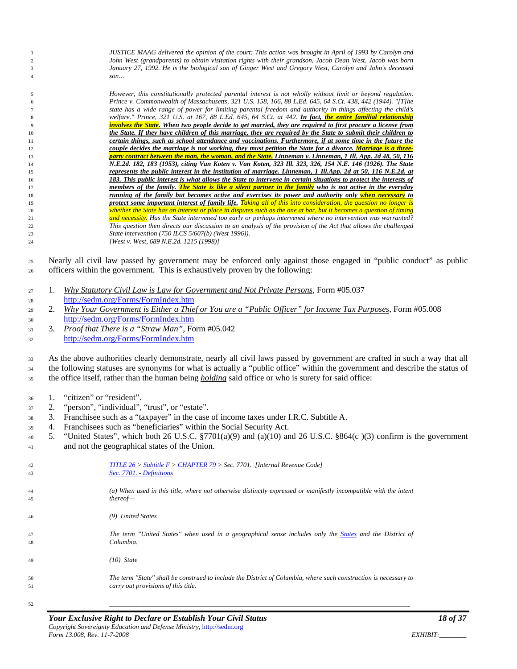*JUSTICE MAAG delivered the opinion of the court: This action was brought in April of 1993 by Carolyn and John West (grandparents) to obtain visitation rights with their grandson, Jacob Dean West. Jacob was born January 27, 1992. He is the biological son of Ginger West and Gregory West, Carolyn and John's deceased son…*

| 5  | However, this constitutionally protected parental interest is not wholly without limit or beyond regulation.         |
|----|----------------------------------------------------------------------------------------------------------------------|
| 6  | Prince v. Commonwealth of Massachusetts, 321 U.S. 158, 166, 88 L.Ed. 645, 64 S.Ct. 438, 442 (1944). "[T]he           |
|    | state has a wide range of power for limiting parental freedom and authority in things affecting the child's          |
| 8  | welfare." Prince, 321 U.S. at 167, 88 L.Ed. 645, 64 S.Ct. at 442. In fact, the entire familial relationship          |
| 9  | <i>involves the State</i> . When two people decide to get married, they are required to first procure a license from |
| 10 | the State. If they have children of this marriage, they are required by the State to submit their children to        |
| 11 | certain things, such as school attendance and vaccinations. Furthermore, if at some time in the future the           |
| 12 | couple decides the marriage is not working, they must petition the State for a divorce. Marriage is a three-         |
| 13 | party contract between the man, the woman, and the State. Linneman v. Linneman, 1 Ill. App. 2d 48, 50, 116           |
| 14 | N.E.2d. 182, 183 (1953), citing Van Koten v. Van Koten, 323 Ill. 323, 326, 154 N.E. 146 (1926). The State            |
| 15 | represents the public interest in the institution of marriage. Linneman, 1 Ill.App. 2d at 50, 116 N.E.2d. at         |
| 16 | 183. This public interest is what allows the State to intervene in certain situations to protect the interests of    |
| 17 | members of the family. The State is like a silent partner in the family who is not active in the everyday            |
| 18 | running of the family but becomes active and exercises its power and authority only when necessary to                |
| 19 | protect some important interest of family life. Taking all of this into consideration, the question no longer is     |
| 20 | whether the State has an interest or place in disputes such as the one at bar, but it becomes a question of timing   |
| 21 | and necessity. Has the State intervened too early or perhaps intervened where no intervention was warranted?         |
| 22 | This question then directs our discussion to an analysis of the provision of the Act that allows the challenged      |
| 23 | State intervention (750 ILCS $5/607(b)$ ) (West 1996)).                                                              |
| 24 | [West v. West, 689 N.E.2d. 1215 (1998)]                                                                              |

 Nearly all civil law passed by government may be enforced only against those engaged in "public conduct" as public officers within the government. This is exhaustively proven by the following:

- 1. *Why Statutory Civil Law is Law for Government and Not Private Persons*, Form #05.037 <http://sedm.org/Forms/FormIndex.htm>
- 2. *Why Your Government is Either a Thief or You are a "Public Officer" for Income Tax Purposes*, Form #05.008 <http://sedm.org/Forms/FormIndex.htm>
- 3. *Proof that There is a "Straw Man"*, Form #05.042 <http://sedm.org/Forms/FormIndex.htm>

 As the above authorities clearly demonstrate, nearly all civil laws passed by government are crafted in such a way that all the following statuses are synonyms for what is actually a "public office" within the government and describe the status of the office itself, rather than the human being *holding* said office or who is surety for said office:

- 1. "citizen" or "resident".
- 2. "person", "individual", "trust", or "estate".
- 3. Franchisee such as a "taxpayer" in the case of income taxes under I.R.C. Subtitle A.
- 4. Franchisees such as "beneficiaries" within the Social Security Act.
- 40 5. "United States", which both 26 U.S.C.  $\frac{87701(a)(9)}{9}$  and (a)(10) and 26 U.S.C.  $\frac{864(c)}{3}$  confirm is the government and not the geographical states of the Union.

| 42 | TITLE $26 >$ Subtitle $F >$ CHAPTER 79 > Sec. 7701. [Internal Revenue Code]                                      |
|----|------------------------------------------------------------------------------------------------------------------|
| 43 | Sec. 7701. - Definitions                                                                                         |
| 44 | (a) When used in this title, where not otherwise distinctly expressed or manifestly incompatible with the intent |
| 45 | $thereof -$                                                                                                      |
| 46 | <b>United States</b><br>(9)                                                                                      |
| 47 | The term "United States" when used in a geographical sense includes only the States and the District of          |
| 48 | Columbia.                                                                                                        |
| 49 | $(10)$ State                                                                                                     |
| 50 | The term "State" shall be construed to include the District of Columbia, where such construction is necessary to |
| 51 | carry out provisions of this title.                                                                              |

*\_\_\_\_\_\_\_\_\_\_\_\_\_\_\_\_\_\_\_\_\_\_\_\_\_\_\_\_\_\_\_\_\_\_\_\_\_\_\_\_\_\_\_\_\_\_\_\_\_\_\_\_\_\_\_\_\_\_\_\_\_\_\_\_\_\_\_\_\_\_\_\_\_\_\_\_\_\_\_\_\_\_\_\_\_\_\_\_\_*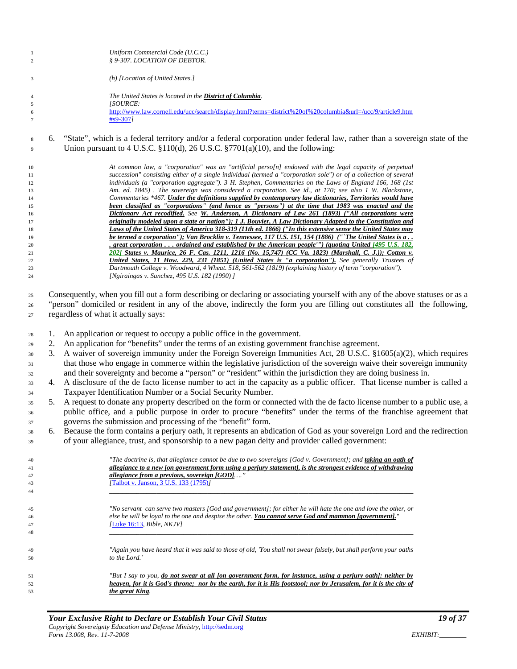| 1<br>$\mathbf{2}$ |                                                                                                                       | Uniform Commercial Code (U.C.C.)<br>§ 9-307. LOCATION OF DEBTOR.                                                                                                                                                                                                                                    |  |  |  |
|-------------------|-----------------------------------------------------------------------------------------------------------------------|-----------------------------------------------------------------------------------------------------------------------------------------------------------------------------------------------------------------------------------------------------------------------------------------------------|--|--|--|
| 3                 |                                                                                                                       | (h) [Location of United States.]                                                                                                                                                                                                                                                                    |  |  |  |
| 4                 |                                                                                                                       | The United States is located in the <b>District of Columbia</b> .                                                                                                                                                                                                                                   |  |  |  |
| $\mathfrak{s}$    |                                                                                                                       | <b>ISOURCE:</b>                                                                                                                                                                                                                                                                                     |  |  |  |
| 6<br>7            | http://www.law.cornell.edu/ucc/search/display.html?terms=district%20of%20columbia&url=/ucc/9/article9.htm<br>#s9-3071 |                                                                                                                                                                                                                                                                                                     |  |  |  |
| $\,$ 8 $\,$<br>9  | 6.                                                                                                                    | "State", which is a federal territory and/or a federal corporation under federal law, rather than a sovereign state of the<br>Union pursuant to 4 U.S.C. $$110(d), 26$ U.S.C. $$7701(a)(10)$ , and the following:                                                                                   |  |  |  |
| 10                |                                                                                                                       | At common law, a "corporation" was an "artificial perso[n] endowed with the legal capacity of perpetual                                                                                                                                                                                             |  |  |  |
| 11                |                                                                                                                       | succession" consisting either of a single individual (termed a "corporation sole") or of a collection of several                                                                                                                                                                                    |  |  |  |
| 12<br>13          |                                                                                                                       | individuals (a "corporation aggregate"). 3 H. Stephen, Commentaries on the Laws of England 166, 168 (1st<br>Am. ed. 1845). The sovereign was considered a corporation. See id., at 170; see also 1 W. Blackstone,                                                                                   |  |  |  |
| 14                |                                                                                                                       | Commentaries *467. Under the definitions supplied by contemporary law dictionaries, Territories would have                                                                                                                                                                                          |  |  |  |
| 15                |                                                                                                                       | been classified as "corporations" (and hence as "persons") at the time that 1983 was enacted and the                                                                                                                                                                                                |  |  |  |
| 16                |                                                                                                                       | Dictionary Act recodified. See W. Anderson, A Dictionary of Law 261 (1893) ("All corporations were                                                                                                                                                                                                  |  |  |  |
| 17                |                                                                                                                       | originally modeled upon a state or nation"); 1 J. Bouvier, A Law Dictionary Adapted to the Constitution and<br>Laws of the United States of America 318-319 (11th ed. 1866) ("In this extensive sense the United States may                                                                         |  |  |  |
| 18<br>19          |                                                                                                                       | be termed a corporation"); Van Brocklin v. Tennessee, 117 U.S. 151, 154 (1886) ("The United States is a                                                                                                                                                                                             |  |  |  |
| 20                |                                                                                                                       | . great corporation ordained and established by the American people''') (quoting United [495 U.S. 182,                                                                                                                                                                                              |  |  |  |
| 21                |                                                                                                                       | 2021 States v. Maurice, 26 F. Cas. 1211, 1216 (No. 15,747) (CC Va. 1823) (Marshall, C. J.)); Cotton v.                                                                                                                                                                                              |  |  |  |
| 22                |                                                                                                                       | <b>United States, 11 How. 229, 231 (1851) (United States is "a corporation").</b> See generally Trustees of<br>Dartmouth College v. Woodward, 4 Wheat. 518, 561-562 (1819) (explaining history of term "corporation").                                                                              |  |  |  |
| 23<br>24          |                                                                                                                       | [Ngiraingas v. Sanchez, 495 U.S. 182 (1990)]                                                                                                                                                                                                                                                        |  |  |  |
| 25<br>26<br>27    |                                                                                                                       | Consequently, when you fill out a form describing or declaring or associating yourself with any of the above statuses or as a<br>"person" domiciled or resident in any of the above, indirectly the form you are filling out constitutes all the following,<br>regardless of what it actually says: |  |  |  |
|                   |                                                                                                                       |                                                                                                                                                                                                                                                                                                     |  |  |  |
| 28                | 1.                                                                                                                    | An application or request to occupy a public office in the government.                                                                                                                                                                                                                              |  |  |  |
| 29                | 2.                                                                                                                    | An application for "benefits" under the terms of an existing government franchise agreement.                                                                                                                                                                                                        |  |  |  |
| 30                | 3.                                                                                                                    | A waiver of sovereign immunity under the Foreign Sovereign Immunities Act, 28 U.S.C. §1605(a)(2), which requires                                                                                                                                                                                    |  |  |  |
| 31                |                                                                                                                       | that those who engage in commerce within the legislative jurisdiction of the sovereign waive their sovereign immunity                                                                                                                                                                               |  |  |  |
| 32                |                                                                                                                       | and their sovereignty and become a "person" or "resident" within the jurisdiction they are doing business in.                                                                                                                                                                                       |  |  |  |
| 33                | 4.                                                                                                                    | A disclosure of the de facto license number to act in the capacity as a public officer. That license number is called a                                                                                                                                                                             |  |  |  |
| 34                |                                                                                                                       | Taxpayer Identification Number or a Social Security Number.                                                                                                                                                                                                                                         |  |  |  |
| 35                | 5.                                                                                                                    | A request to donate any property described on the form or connected with the de facto license number to a public use, a                                                                                                                                                                             |  |  |  |
| 36                |                                                                                                                       | public office, and a public purpose in order to procure "benefits" under the terms of the franchise agreement that                                                                                                                                                                                  |  |  |  |
| 37                |                                                                                                                       | governs the submission and processing of the "benefit" form.                                                                                                                                                                                                                                        |  |  |  |
| 38                | 6.                                                                                                                    | Because the form contains a perjury oath, it represents an abdication of God as your sovereign Lord and the redirection                                                                                                                                                                             |  |  |  |
| 39                |                                                                                                                       | of your allegiance, trust, and sponsorship to a new pagan deity and provider called government:                                                                                                                                                                                                     |  |  |  |
|                   |                                                                                                                       |                                                                                                                                                                                                                                                                                                     |  |  |  |
| 40<br>41          |                                                                                                                       | "The doctrine is, that allegiance cannot be due to two sovereigns [God v. Government]; and <i>taking an oath of</i><br>allegiance to a new [on government form using a perjury statement], is the strongest evidence of withdrawing                                                                 |  |  |  |
| 42                |                                                                                                                       | allegiance from a previous, sovereign [GOD]"                                                                                                                                                                                                                                                        |  |  |  |
| 43                |                                                                                                                       | [Talbot v. Janson, 3 U.S. 133 (1795)]                                                                                                                                                                                                                                                               |  |  |  |
| 44                |                                                                                                                       |                                                                                                                                                                                                                                                                                                     |  |  |  |
| 45                |                                                                                                                       | "No servant can serve two masters $[God$ and government]; for either he will hate the one and love the other, or                                                                                                                                                                                    |  |  |  |
| 46                |                                                                                                                       | else he will be loyal to the one and despise the other. You cannot serve God and mammon [government]."                                                                                                                                                                                              |  |  |  |
| 47<br>48          |                                                                                                                       | [Luke 16:13, Bible, NKJV]                                                                                                                                                                                                                                                                           |  |  |  |
|                   |                                                                                                                       |                                                                                                                                                                                                                                                                                                     |  |  |  |
| 49                |                                                                                                                       | "Again you have heard that it was said to those of old, 'You shall not swear falsely, but shall perform your oaths                                                                                                                                                                                  |  |  |  |
| 50                |                                                                                                                       | to the Lord.'                                                                                                                                                                                                                                                                                       |  |  |  |
| 51                |                                                                                                                       | "But I say to you, do not swear at all [on government form, for instance, using a perjury oath]: neither by                                                                                                                                                                                         |  |  |  |
| 52                |                                                                                                                       | heaven, for it is God's throne; nor by the earth, for it is His footstool; nor by Jerusalem, for it is the city of                                                                                                                                                                                  |  |  |  |
| 53                |                                                                                                                       | the great King.                                                                                                                                                                                                                                                                                     |  |  |  |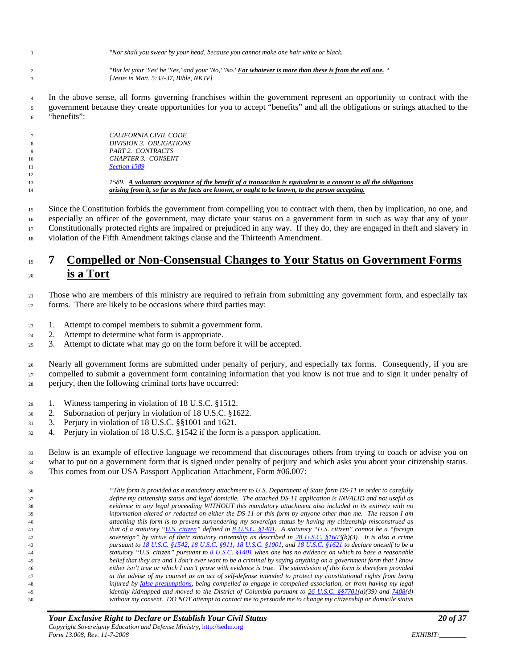*"Nor shall you swear by your head, because you cannot make one hair white or black.*

<sup>2</sup> *Put let your 'Yes' be 'Yes,' and your 'No,' 'No.' For whatever is more than these is from the evil one.* **"** *[Jesus in Matt. 5:33-37, Bible, NKJV]*

 In the above sense, all forms governing franchises within the government represent an opportunity to contract with the government because they create opportunities for you to accept "benefits" and all the obligations or strings attached to the "benefits":

 *CALIFORNIA CIVIL CODE DIVISION 3. OBLIGATIONS PART 2. CONTRACTS CHAPTER 3. CONSENT [Section 1589](http://www.leginfo.ca.gov/cgi-bin/displaycode?section=civ&group=01001-02000&file=1565-1590)*

 *1589. A voluntary acceptance of the benefit of a transaction is equivalent to a consent to all the obligations arising from it, so far as the facts are known, or ought to be known, to the person accepting.*

 Since the Constitution forbids the government from compelling you to contract with them, then by implication, no one, and especially an officer of the government, may dictate your status on a government form in such as way that any of your Constitutionally protected rights are impaired or prejudiced in any way. If they do, they are engaged in theft and slavery in violation of the Fifth Amendment takings clause and the Thirteenth Amendment.

# <span id="page-19-0"></span> **7 Compelled or Non-Consensual Changes to Your Status on Government Forms is a Tort**

 Those who are members of this ministry are required to refrain from submitting any government form, and especially tax forms. There are likely to be occasions where third parties may:

- 1. Attempt to compel members to submit a government form.
- 2. Attempt to determine what form is appropriate.
- 3. Attempt to dictate what may go on the form before it will be accepted.

 Nearly all government forms are submitted under penalty of perjury, and especially tax forms. Consequently, if you are compelled to submit a government form containing information that you know is not true and to sign it under penalty of perjury, then the following criminal torts have occurred:

- 1. Witness tampering in violation of 18 U.S.C. §1512.
- 2. Subornation of perjury in violation of 18 U.S.C. §1622.
- 3. Perjury in violation of 18 U.S.C. §§1001 and 1621.
- 4. Perjury in violation of 18 U.S.C. §1542 if the form is a passport application.

 Below is an example of effective language we recommend that discourages others from trying to coach or advise you on what to put on a government form that is signed under penalty of perjury and which asks you about your citizenship status. This comes from our USA Passport Application Attachment, Form #06.007:

| 36 | "This form is provided as a mandatory attachment to U.S. Department of State form DS-11 in order to carefully             |
|----|---------------------------------------------------------------------------------------------------------------------------|
| 37 | define my citizenship status and legal domicile. The attached DS-11 application is INVALID and not useful as              |
| 38 | evidence in any legal proceeding WITHOUT this mandatory attachment also included in its entirety with no                  |
| 39 | information altered or redacted on either the DS-11 or this form by anyone other than me. The reason I am                 |
| 40 | attaching this form is to prevent surrendering my sovereign status by having my citizenship misconstrued as               |
| 41 | that of a statutory "U.S. citizen" defined in 8 U.S.C. §1401. A statutory "U.S. citizen" cannot be a "foreign             |
| 42 | sovereign" by virtue of their statutory citizenship as described in 28 U.S.C. $$1603(b)(3)$ . It is also a crime          |
| 43 | pursuant to 18 U.S.C. §1542, 18 U.S.C. §911, 18 U.S.C. §1001, and 18 U.S.C. §1621 to declare oneself to be a              |
| 44 | statutory "U.S. citizen" pursuant to 8 U.S.C. §1401 when one has no evidence on which to base a reasonable                |
| 45 | belief that they are and I don't ever want to be a criminal by saying anything on a government form that I know           |
| 46 | either isn't true or which I can't prove with evidence is true. The submission of this form is therefore provided         |
| 47 | at the advise of my counsel as an act of self-defense intended to protect my constitutional rights from being             |
| 48 | injured by false presumptions, being compelled to engage in compelled association, or from having my legal                |
| 49 | identity kidnapped and moved to the District of Columbia pursuant to $26$ U.S.C. $\S$ $\frac{87701}{a}(39)$ and $7408(d)$ |
| 50 | without my consent. DO NOT attempt to contact me to persuade me to change my citizenship or domicile status               |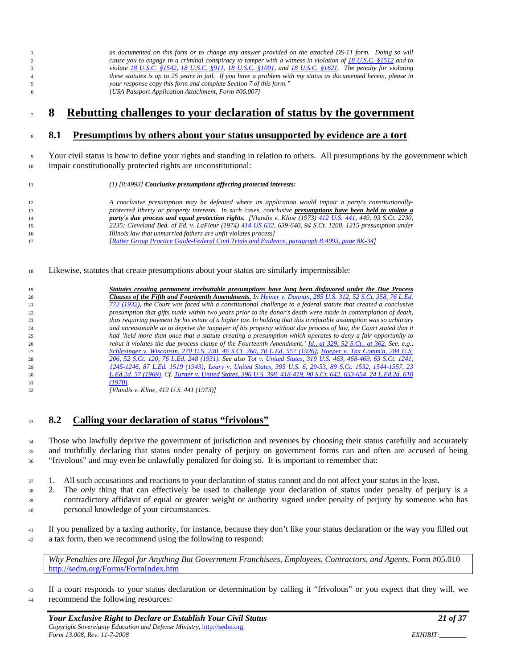| as documented on this form or to change any answer provided on the attached DS-11 form. Doing so will          |
|----------------------------------------------------------------------------------------------------------------|
| cause you to engage in a criminal conspiracy to tamper with a witness in violation of 18 U.S.C. §1512 and to   |
| violate 18 U.S.C. §1542, 18 U.S.C. §911, 18 U.S.C. §1001, and 18 U.S.C. §1621. The penalty for violating       |
| these statutes is up to 25 years in jail. If you have a problem with my status as documented herein, please in |
| your response copy this form and complete Section 7 of this form."                                             |
| <b>IUSA Passport Application Attachment. Form #06.0071</b>                                                     |
|                                                                                                                |

# <span id="page-20-0"></span>**8 Rebutting challenges to your declaration of status by the government**

#### <span id="page-20-1"></span>**8.1 Presumptions by others about your status unsupported by evidence are a tort**

 Your civil status is how to define your rights and standing in relation to others. All presumptions by the government which impair constitutionally protected rights are unconstitutional:

|  |  | $(1)$ [8:4993] Conclusive presumptions affecting protected interests: |
|--|--|-----------------------------------------------------------------------|
|--|--|-----------------------------------------------------------------------|

| 12 | A conclusive presumption may be defeated where its application would impair a party's constitutionally-            |
|----|--------------------------------------------------------------------------------------------------------------------|
| 13 | protected liberty or property interests. In such cases, conclusive <b>presumptions have been held to violate a</b> |
| 14 | <b>party's due process and equal protection rights.</b> [Vlandis v. Kline (1973) 412 U.S. 441, 449, 93 S.Ct. 2230, |
| 15 | 2235; Cleveland Bed. of Ed. v. LaFleur (1974) 414 US 632, 639-640, 94 S.Ct. 1208, 1215-presumption under           |
| 16 | Illinois law that unmarried fathers are unfit violates process]                                                    |
| 17 | [Rutter Group Practice Guide-Federal Civil Trials and Evidence, paragraph 8:4993, page 8K-34]                      |

Likewise, statutes that create presumptions about your status are similarly impermissible:

| 19 | Statutes creating permanent irrebuttable presumptions have long been disfavored under the Due Process              |
|----|--------------------------------------------------------------------------------------------------------------------|
| 20 | <b>Clauses of the Fifth and Fourteenth Amendments.</b> In Heiner v. Donnan, 285 U.S. 312, 52 S.Ct. 358, 76 L.Ed.   |
| 21 | 772 (1932), the Court was faced with a constitutional challenge to a federal statute that created a conclusive     |
| 22 | presumption that gifts made within two years prior to the donor's death were made in contemplation of death,       |
| 23 | thus requiring payment by his estate of a higher tax. In holding that this irrefutable assumption was so arbitrary |
| 24 | and unreasonable as to deprive the taxpayer of his property without due process of law, the Court stated that it   |
| 25 | had 'held more than once that a statute creating a presumption which operates to deny a fair opportunity to        |
| 26 | rebut it violates the due process clause of the Fourteenth Amendment.' Id., at 329, 52 S.Ct., at 362. See, e.g.,   |
| 27 | Schlesinger v. Wisconsin, 270 U.S. 230, 46 S.Ct. 260, 70 L.Ed. 557 (1926); Hoeper v. Tax Comm'n, 284 U.S.          |
| 28 | 206, 52 S.Ct. 120, 76 L.Ed. 248 (1931). See also Tot v. United States, 319 U.S. 463, 468-469, 63 S.Ct. 1241,       |
| 29 | 1245-1246, 87 L.Ed. 1519 (1943); Leary v. United States, 395 U.S. 6, 29-53, 89 S.Ct. 1532, 1544-1557, 23           |
| 30 | L.Ed.2d. 57 (1969). Cf. Turner v. United States, 396 U.S. 398, 418-419, 90 S.Ct. 642, 653-654, 24 L.Ed.2d. 610     |
| 31 | (1970).                                                                                                            |
| 32 | [Vlandis v. Kline. 412 U.S. 441 (1973)]                                                                            |

#### <span id="page-20-2"></span>**8.2 Calling your declaration of status "frivolous"**

 Those who lawfully deprive the government of jurisdiction and revenues by choosing their status carefully and accurately and truthfully declaring that status under penalty of perjury on government forms can and often are accused of being "frivolous" and may even be unlawfully penalized for doing so. It is important to remember that:

- 1. All such accusations and reactions to your declaration of status cannot and do not affect your status in the least.
- 2. The *only* thing that can effectively be used to challenge your declaration of status under penalty of perjury is a contradictory affidavit of equal or greater weight or authority signed under penalty of perjury by someone who has personal knowledge of your circumstances.
- If you penalized by a taxing authority, for instance, because they don't like your status declaration or the way you filled out a tax form, then we recommend using the following to respond:

*Why Penalties are Illegal for Anything But Government Franchisees, Employees, Contractors, and Agents*, Form #05.010 <http://sedm.org/Forms/FormIndex.htm>

 If a court responds to your status declaration or determination by calling it "frivolous" or you expect that they will, we recommend the following resources: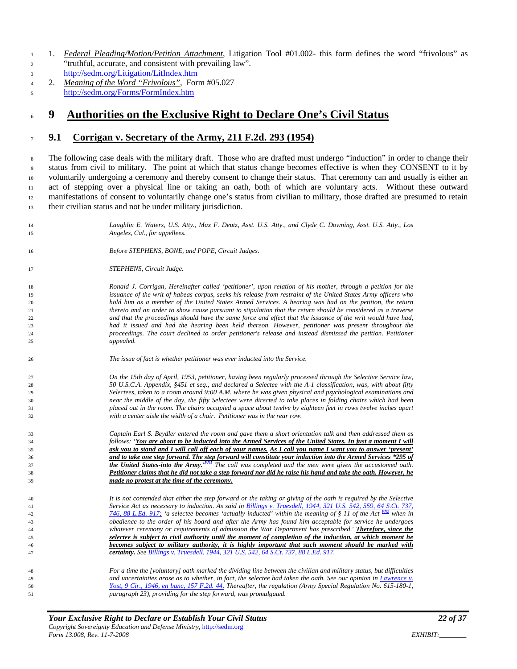- 1. *Federal Pleading/Motion/Petition Attachment*, Litigation Tool #01.002- this form defines the word "frivolous" as "truthful, accurate, and consistent with prevailing law". <http://sedm.org/Litigation/LitIndex.htm>
- 2. *Meaning of the Word "Frivolous"*, Form #05.027 <http://sedm.org/Forms/FormIndex.htm>

# <span id="page-21-0"></span>**9 Authorities on the Exclusive Right to Declare One's Civil Status**

#### <span id="page-21-1"></span>**9.1 Corrigan v. Secretary of the Army, 211 F.2d. 293 (1954)**

 The following case deals with the military draft. Those who are drafted must undergo "induction" in order to change their status from civil to military. The point at which that status change becomes effective is when they CONSENT to it by voluntarily undergoing a ceremony and thereby consent to change their status. That ceremony can and usually is either an act of stepping over a physical line or taking an oath, both of which are voluntary acts. Without these outward manifestations of consent to voluntarily change one's status from civilian to military, those drafted are presumed to retain their civilian status and not be under military jurisdiction.

 *Laughlin E. Waters, U.S. Atty., Max F. Deutz, Asst. U.S. Atty., and Clyde C. Downing, Asst. U.S. Atty., Los Angeles, Cal., for appellees. Before STEPHENS, BONE, and POPE, Circuit Judges. STEPHENS, Circuit Judge. Ronald J. Corrigan, Hereinafter called 'petitioner', upon relation of his mother, through a petition for the issuance of the writ of habeas corpus, seeks his release from restraint of the United States Army officers who hold him as a member of the United States Armed Services. A hearing was had on the petition, the return thereto and an order to show cause pursuant to stipulation that the return should be considered as a traverse and that the proceedings should have the same force and effect that the issuance of the writ would have had, had it issued and had the hearing been held thereon. However, petitioner was present throughout the proceedings. The court declined to order petitioner's release and instead dismissed the petition. Petitioner appealed. The issue of fact is whether petitioner was ever inducted into the Service. On the 15th day of April, 1953, petitioner, having been regularly processed through the Selective Service law, 50 U.S.C.A. Appendix, §451 et seq., and declared a Selectee with the A-1 classification, was, with about fifty Selectees, taken to a room around 9:00 A.M. where he was given physical and psychological examinations and near the middle of the day, the fifty Selectees were directed to take places in folding chairs which had been placed out in the room. The chairs occupied a space about twelve by eighteen feet in rows twelve inches apart with a center aisle the width of a chair. Petitioner was in the rear row. Captain Earl S. Beydler entered the room and gave them a short orientation talk and then addressed them as follows: 'You are about to be inducted into the Armed Services of the United States. In just a moment I will ask you to stand and I will call off each of your names. As I call you name I want you to answer 'present' and to take one step forward. The step forward will constitute your induction into the Armed Services \*295 of the United States-into the Army.*<sup>*[FN1](http://web2.westlaw.com/result/documenttext.aspx?service=Find&rs=WLW7.01&cnt=DOC&n=1&fn=_top&sv=Split&mt=NinthCircuit&cxt=DC&rlt=CLID_FQRLT484522271&fcl=False&docsample=False&ss=CNT&vr=2.0&rp=%2fFind%2fdefault.wl&cite=211+F.2d+293#B00111954117727#B00111954117727)</sup></sub> The call was completed and the men were given the accustomed oath.*</sup> *Petitioner claims that he did not take a step forward nor did he raise his hand and take the oath. However, he made no protest at the time of the ceremony. It is not contended that either the step forward or the taking or giving of the oath is required by the Selective Service Act as necessary to induction. As said i[n Billings v. Truesdell, 1944, 321 U.S. 542, 559, 64 S.Ct. 737,](http://web2.westlaw.com/find/default.wl?tf=-1&rs=WLW7.01&referencepositiontype=S&serialnum=1944118316&fn=_top&sv=Split&tc=-1&findtype=Y&referenceposition=746&db=708&vr=2.0&rp=%2ffind%2fdefault.wl&mt=NinthCircuit)  [746, 88 L.Ed. 917;](http://web2.westlaw.com/find/default.wl?tf=-1&rs=WLW7.01&referencepositiontype=S&serialnum=1944118316&fn=_top&sv=Split&tc=-1&findtype=Y&referenceposition=746&db=708&vr=2.0&rp=%2ffind%2fdefault.wl&mt=NinthCircuit) 'a selectee becomes 'actually inducted' within the meaning of § 11 of the Act*  $\frac{FN2}{2}$  $\frac{FN2}{2}$  $\frac{FN2}{2}$  *when in obedience to the order of his board and after the Army has found him acceptable for service he undergoes whatever ceremony or requirements of admission the War Department has prescribed.' Therefore, since the selectee is subject to civil authority until the moment of completion of the induction, at which moment he becomes subject to military authority, it is highly important that such moment should be marked with certainty. Se[e Billings v. Truesdell, 1944, 321 U.S. 542, 64 S.Ct. 737, 88 L.Ed. 917.](http://web2.westlaw.com/find/default.wl?rs=WLW7.01&serialnum=1944118316&fn=_top&sv=Split&tc=-1&findtype=Y&tf=-1&db=708&vr=2.0&rp=%2ffind%2fdefault.wl&mt=NinthCircuit) For a time the [voluntary] oath marked the dividing line between the civilian and military status, but difficulties and uncertainties arose as to whether, in fact, the selectee had taken the oath. See our opinion in [Lawrence v.](http://web2.westlaw.com/find/default.wl?rs=WLW7.01&serialnum=1946114176&fn=_top&sv=Split&tc=-1&findtype=Y&tf=-1&db=275&vr=2.0&rp=%2ffind%2fdefault.wl&mt=NinthCircuit)  [Yost, 9 Cir., 1946, en banc, 157](http://web2.westlaw.com/find/default.wl?rs=WLW7.01&serialnum=1946114176&fn=_top&sv=Split&tc=-1&findtype=Y&tf=-1&db=275&vr=2.0&rp=%2ffind%2fdefault.wl&mt=NinthCircuit) F.2d. 44. Thereafter, the regulation (Army Special Regulation No. 615-180-1, paragraph 23), providing for the step forward, was promulgated.*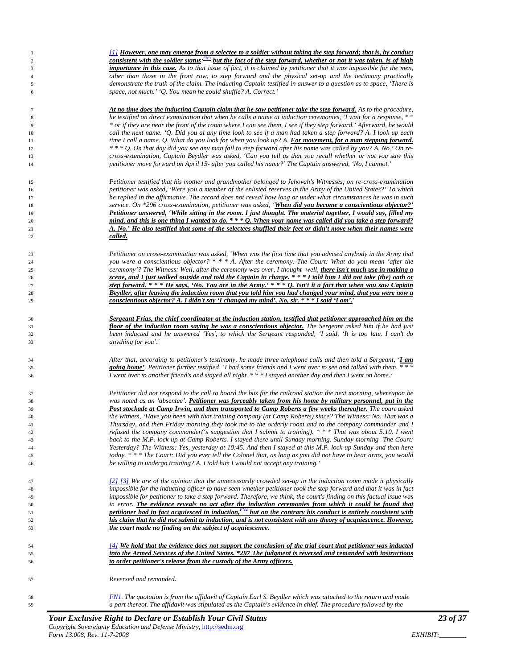*[\[1\]](http://web2.westlaw.com/result/documenttext.aspx?service=Find&rs=WLW7.01&cnt=DOC&n=1&fn=_top&sv=Split&mt=NinthCircuit&cxt=DC&rlt=CLID_FQRLT484522271&fcl=False&docsample=False&ss=CNT&vr=2.0&rp=%2fFind%2fdefault.wl&cite=211+F.2d+293#F11954117727#F11954117727) However, one may emerge from a selectee to a soldier without taking the step forward; that is, by conduct consistent with the soldier status*<sup>*;[FN3](http://web2.westlaw.com/result/documenttext.aspx?service=Find&rs=WLW7.01&cnt=DOC&n=1&fn=_top&sv=Split&mt=NinthCircuit&cxt=DC&rlt=CLID_FQRLT484522271&fcl=False&docsample=False&ss=CNT&vr=2.0&rp=%2fFind%2fdefault.wl&cite=211+F.2d+293#B00331954117727#B00331954117727)*</sup> *but the fact of the step forward, whether or not it was taken, is of high importance in this case. As to that issue of fact, it is claimed by petitioner that it was impossible for the men, other than those in the front row, to step forward and the physical set-up and the testimony practically demonstrate the truth of the claim. The inducting Captain testified in answer to a question as to space, 'There is space, not much.' 'Q. You mean he could shuffle? A. Correct.'*

 *At no time does the inducting Captain claim that he saw petitioner take the step forward. As to the procedure, he testified on direct examination that when he calls a name at induction ceremonies, 'I wait for a response, \* \* \* or if they are near the front of the room where I can see them, I see if they step forward.' Afterward, he would call the next name. 'Q. Did you at any time look to see if a man had taken a step forward? A. I look up each time I call a name. Q. What do you look for when you look up? A. For movement, for a man stepping forward. \* \* \* Q. On that day did you see any man fail to step forward after his name was called by you? A. No.' On re- cross-examination, Captain Beydler was asked, 'Can you tell us that you recall whether or not you saw this petitioner move forward on April 15- after you called his name?' The Captain answered, 'No, I cannot.'*

 *Petitioner testified that his mother and grandmother belonged to Jehovah's Witnesses; on re-cross-examination petitioner was asked, 'Were you a member of the enlisted reserves in the Army of the United States?' To which he replied in the affirmative. The record does not reveal how long or under what circumstances he was in such service. On \*296 cross-examination, petitioner was asked, 'When did you become a conscientious objector?' Petitioner answered, 'While sitting in the room. I just thought. The material together, I would say, filled my mind, and this is one thing I wanted to do. \* \* \* Q. When your name was called did you take a step forward? A. No.' He also testified that some of the selectees shuffled their feet or didn't move when their names were called.*

 *Petitioner on cross-examination was asked, 'When was the first time that you advised anybody in the Army that you were a conscientious objector? \* \* \* A. After the ceremony. The Court: What do you mean 'after the ceremony'? The Witness: Well, after the ceremony was over, I thought- well, there isn't much use in making a scene, and I just walked outside and told the Captain in charge. \* \* \* I told him I did not take (the) oath or step forward. \* \* \* He says, 'No. You are in the Army.' \* \* \* Q. Isn't it a fact that when you saw Captain Beydler, after leaving the induction room that you told him you had changed your mind, that you were now a conscientious objector? A. I didn't say 'I changed my mind', No, sir. \* \* \* I said 'I am'.'*

 *Sergeant Frias, the chief coordinator at the induction station, testified that petitioner approached him on the floor of the induction room saying he was a conscientious objector. The Sergeant asked him if he had just been inducted and he answered 'Yes', to which the Sergeant responded, 'I said, 'It is too late. I can't do anything for you'.'*

 *After that, according to petitioner's testimony, he made three telephone calls and then told a Sergeant, 'I am going home'. Petitioner further testified, 'I had some friends and I went over to see and talked with them. \* \* \* I went over to another friend's and stayed all night. \* \* \* I stayed another day and then I went on home.'*

 *Petitioner did not respond to the call to board the bus for the railroad station the next morning, whereupon he was noted as an 'absentee'. Petitioner was forceably taken from his home by military personnel, put in the Post stockade at Camp Irwin, and then transported to Camp Roberts a few weeks thereafter. The court asked the witness, 'Have you been with that training company (at Camp Roberts) since? The Witness: No. That was a Thursday, and then Friday morning they took me to the orderly room and to the company commander and I refused the company commander('s suggestion that I submit to training). \* \* \* That was about 5:10. I went back to the M.P. lock-up at Camp Roberts. I stayed there until Sunday morning. Sunday morning- The Court: Yesterday? The Witness: Yes, yesterday at 10:45. And then I stayed at this M.P. lock-up Sunday and then here today. \* \* \* The Court: Did you ever tell the Colonel that, as long as you did not have to bear arms, you would be willing to undergo training? A. I told him I would not accept any training.'*

 *[\[2\]](http://web2.westlaw.com/result/documenttext.aspx?service=Find&rs=WLW7.01&cnt=DOC&n=1&fn=_top&sv=Split&mt=NinthCircuit&cxt=DC&rlt=CLID_FQRLT484522271&fcl=False&docsample=False&ss=CNT&vr=2.0&rp=%2fFind%2fdefault.wl&cite=211+F.2d+293#F21954117727#F21954117727) [\[3\]](http://web2.westlaw.com/result/documenttext.aspx?service=Find&rs=WLW7.01&cnt=DOC&n=1&fn=_top&sv=Split&mt=NinthCircuit&cxt=DC&rlt=CLID_FQRLT484522271&fcl=False&docsample=False&ss=CNT&vr=2.0&rp=%2fFind%2fdefault.wl&cite=211+F.2d+293#F31954117727#F31954117727) We are of the opinion that the unnecessarily crowded set-up in the induction room made it physically impossible for the inducting officer to have seen whether petitioner took the step forward and that it was in fact impossible for petitioner to take a step forward. Therefore, we think, the court's finding on this factual issue was in error. The evidence reveals no act after the induction ceremonies from which it could be found that petitioner had in fact acquiesced in induction,<sup>FN4</sup> but on the contrary his conduct is entirely consistent with his claim that he did not submit to induction, and is not consistent with any theory of acquiescence. However, the court made no finding on the subject of acquiescence.*

 *[\[4\]](http://web2.westlaw.com/result/documenttext.aspx?service=Find&rs=WLW7.01&cnt=DOC&n=1&fn=_top&sv=Split&mt=NinthCircuit&cxt=DC&rlt=CLID_FQRLT484522271&fcl=False&docsample=False&ss=CNT&vr=2.0&rp=%2fFind%2fdefault.wl&cite=211+F.2d+293#F41954117727#F41954117727) We hold that the evidence does not support the conclusion of the trial court that petitioner was inducted into the Armed Services of the United States. \*297 The judgment is reversed and remanded with instructions to order petitioner's release from the custody of the Army officers.*

*Reversed and remanded.*

 *[FN1.](http://web2.westlaw.com/result/documenttext.aspx?service=Find&rs=WLW7.01&cnt=DOC&n=1&fn=_top&sv=Split&mt=NinthCircuit&cxt=DC&rlt=CLID_FQRLT484522271&fcl=False&docsample=False&ss=CNT&vr=2.0&rp=%2fFind%2fdefault.wl&cite=211+F.2d+293#F00111954117727#F00111954117727) The quotation is from the affidavit of Captain Earl S. Beydler which was attached to the return and made a part thereof. The affidavit was stipulated as the Captain's evidence in chief. The procedure followed by the*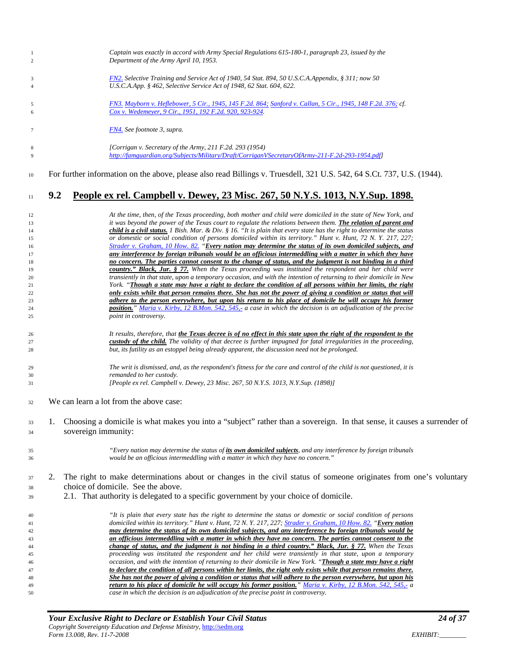<span id="page-23-0"></span>

| $\overline{c}$ | Captain was exactly in accord with Army Special Regulations 615-180-1, paragraph 23, issued by the<br>Department of the Army April 10, 1953.                                                                                                          |
|----------------|-------------------------------------------------------------------------------------------------------------------------------------------------------------------------------------------------------------------------------------------------------|
| 3              | FN2. Selective Training and Service Act of 1940, 54 Stat. 894, 50 U.S.C.A.Appendix, § 311; now 50                                                                                                                                                     |
| 4              | U.S.C.A.App. § 462, Selective Service Act of 1948, 62 Stat. 604, 622.                                                                                                                                                                                 |
| 5              | FN3. Mayborn v. Heflebower, 5 Cir., 1945, 145 F.2d. 864; Sanford v. Callan, 5 Cir., 1945, 148 F.2d. 376; cf.                                                                                                                                          |
| 6              | Cox v. Wedemeyer, 9 Cir., 1951, 192 F.2d. 920, 923-924.                                                                                                                                                                                               |
| 7              | FN4. See footnote 3, supra.                                                                                                                                                                                                                           |
| 8              | [Corrigan v. Secretary of the Army, 211 F.2d. 293 (1954)                                                                                                                                                                                              |
| 9              | http://famguardian.org/Subjects/Military/Draft/CorriganVSecretaryOfArmy-211-F.2d-293-1954.pdf]                                                                                                                                                        |
| 10             | For further information on the above, please also read Billings v. Truesdell, 321 U.S. 542, 64 S.Ct. 737, U.S. (1944).                                                                                                                                |
| 11             | People ex rel. Campbell v. Dewey, 23 Misc. 267, 50 N.Y.S. 1013, N.Y.Sup. 1898.<br>9.2                                                                                                                                                                 |
| 12             | At the time, then, of the Texas proceeding, both mother and child were domiciled in the state of New York, and                                                                                                                                        |
| 13             | it was beyond the power of the Texas court to regulate the relations between them. The relation of parent and                                                                                                                                         |
| 14             | child is a civil status. 1 Bish. Mar. & Div. § 16. "It is plain that every state has the right to determine the status                                                                                                                                |
| 15             | or domestic or social condition of persons domiciled within its territory." Hunt v. Hunt, 72 N. Y. 217, 227;                                                                                                                                          |
| 16             | Strader v. Graham, 10 How. 82. "Every nation may determine the status of its own domiciled subjects, and                                                                                                                                              |
| 17             | any interference by foreign tribunals would be an officious intermeddling with a matter in which they have                                                                                                                                            |
| 18             | no concern. The parties cannot consent to the change of status, and the judgment is not binding in a third                                                                                                                                            |
| 19             | country." Black, Jur. § 77. When the Texas proceeding was instituted the respondent and her child were                                                                                                                                                |
| 20             | transiently in that state, upon a temporary occasion, and with the intention of returning to their domicile in New                                                                                                                                    |
| 21             | York. "Though a state may have a right to declare the condition of all persons within her limits, the right                                                                                                                                           |
| 22             | only exists while that person remains there. She has not the power of giving a condition or status that will                                                                                                                                          |
| 23             | adhere to the person everywhere, but upon his return to his place of domicile he will occupy his former                                                                                                                                               |
| 24             | position." Maria v. Kirby, 12 B.Mon. 542, 545,- a case in which the decision is an adjudication of the precise                                                                                                                                        |
| 25             | point in controversy.                                                                                                                                                                                                                                 |
| 26             | It results, therefore, that the Texas decree is of no effect in this state upon the right of the respondent to the                                                                                                                                    |
| 27             | custody of the child. The validity of that decree is further impugned for fatal irregularities in the proceeding,                                                                                                                                     |
| 28             | but, its futility as an estoppel being already apparent, the discussion need not be prolonged.                                                                                                                                                        |
| 29             | The writ is dismissed, and, as the respondent's fitness for the care and control of the child is not questioned, it is                                                                                                                                |
| 30             | remanded to her custody.                                                                                                                                                                                                                              |
| 31             | [People ex rel. Campbell v. Dewey, 23 Misc. 267, 50 N.Y.S. 1013, N.Y.Sup. (1898)]                                                                                                                                                                     |
| 32             | We can learn a lot from the above case:                                                                                                                                                                                                               |
| 33             | Choosing a domicile is what makes you into a "subject" rather than a sovereign. In that sense, it causes a surrender of                                                                                                                               |
| 34             | sovereign immunity:                                                                                                                                                                                                                                   |
| 35             | "Every nation may determine the status of <b>its own domiciled subjects</b> , and any interference by foreign tribunals                                                                                                                               |
| 36             | would be an officious intermeddling with a matter in which they have no concern."                                                                                                                                                                     |
| 37<br>38<br>39 | The right to make determinations about or changes in the civil status of someone originates from one's voluntary<br>2.<br>choice of domicile. See the above.<br>2.1. That authority is delegated to a specific government by your choice of domicile. |
| 40             | "It is plain that every state has the right to determine the status or domestic or social condition of persons                                                                                                                                        |
| 41             | domiciled within its territory." Hunt v. Hunt, 72 N. Y. 217, 227; Strader v. Graham, 10 How. 82. "Every nation                                                                                                                                        |
| 42             | may determine the status of its own domiciled subjects, and any interference by foreign tribunals would be                                                                                                                                            |
| 43             | an officious intermeddling with a matter in which they have no concern. The parties cannot consent to the                                                                                                                                             |
| 44             | change of status, and the judgment is not binding in a third country." Black, Jur. $\S 77$ . When the Texas                                                                                                                                           |
| 45             | proceeding was instituted the respondent and her child were transiently in that state, upon a temporary                                                                                                                                               |
| 46             | occasion, and with the intention of returning to their domicile in New York. " <b>Though a state may have a right</b>                                                                                                                                 |
| 47             | to declare the condition of all persons within her limits, the right only exists while that person remains there.                                                                                                                                     |
| 48             | She has not the power of giving a condition or status that will adhere to the person everywhere, but upon his                                                                                                                                         |
| 49             | return to his place of domicile he will occupy his former position." Maria v. Kirby, 12 B.Mon. 542, 545,- a                                                                                                                                           |
| 50             | case in which the decision is an adjudication of the precise point in controversy.                                                                                                                                                                    |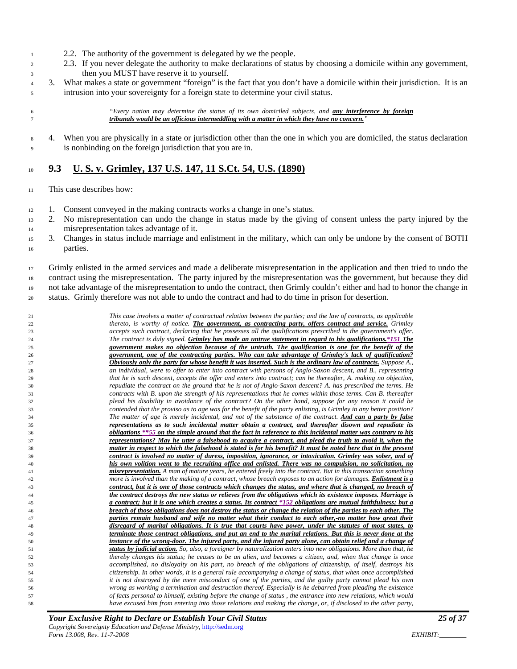- 2.2. The authority of the government is delegated by we the people.
- 2.3. If you never delegate the authority to make declarations of status by choosing a domicile within any government, then you MUST have reserve it to yourself.
- 3. What makes a state or government "foreign" is the fact that you don't have a domicile within their jurisdiction. It is an intrusion into your sovereignty for a foreign state to determine your civil status.

 *"Every nation may determine the status of its own domiciled subjects, and any interference by foreign tribunals would be an officious intermeddling with a matter in which they have no concern."*

 4. When you are physically in a state or jurisdiction other than the one in which you are domiciled, the status declaration is nonbinding on the foreign jurisdiction that you are in.

#### <span id="page-24-0"></span>**9.3 U. S. v. Grimley, 137 U.S. 147, 11 S.Ct. 54, U.S. (1890)**

- This case describes how:
- 1. Consent conveyed in the making contracts works a change in one's status.
- 2. No misrepresentation can undo the change in status made by the giving of consent unless the party injured by the misrepresentation takes advantage of it.
- 3. Changes in status include marriage and enlistment in the military, which can only be undone by the consent of BOTH parties.

 Grimly enlisted in the armed services and made a deliberate misrepresentation in the application and then tried to undo the contract using the misrepresentation. The party injured by the misrepresentation was the government, but because they did not take advantage of the misrepresentation to undo the contract, then Grimly couldn't either and had to honor the change in status. Grimly therefore was not able to undo the contract and had to do time in prison for desertion.

| 21 | This case involves a matter of contractual relation between the parties; and the law of contracts, as applicable    |
|----|---------------------------------------------------------------------------------------------------------------------|
| 22 | thereto, is worthy of notice. The government, as contracting party, offers contract and service. Grimley            |
| 23 | accepts such contract, declaring that he possesses all the qualifications prescribed in the government's offer.     |
| 24 | The contract is duly signed. Grimley has made an untrue statement in regard to his qualifications.*151 The          |
| 25 | government makes no objection because of the untruth. The qualification is one for the benefit of the               |
| 26 | government, one of the contracting parties. Who can take advantage of Grimley's lack of qualification?              |
| 27 | Obviously only the party for whose benefit it was inserted. Such is the ordinary law of contracts. Suppose A.,      |
| 28 | an individual, were to offer to enter into contract with persons of Anglo-Saxon descent, and B., representing       |
| 29 | that he is such descent, accepts the offer and enters into contract; can he thereafter, A. making no objection,     |
| 30 | repudiate the contract on the ground that he is not of Anglo-Saxon descent? A. has prescribed the terms. He         |
| 31 | contracts with B. upon the strength of his representations that he comes within those terms. Can B. thereafter      |
| 32 | plead his disability in avoidance of the contract? On the other hand, suppose for any reason it could be            |
| 33 | contended that the proviso as to age was for the benefit of the party enlisting, is Grimley in any better position? |
| 34 | The matter of age is merely incidental, and not of the substance of the contract. And can a party by false          |
| 35 | representations as to such incidental matter obtain a contract, and thereafter disown and repudiate its             |
| 36 | obligations **55 on the simple ground that the fact in reference to this incidental matter was contrary to his      |
| 37 | representations? May he utter a falsehood to acquire a contract, and plead the truth to avoid it, when the          |
| 38 | matter in respect to which the falsehood is stated is for his benefit? It must be noted here that in the present    |
| 39 | contract is involved no matter of duress, imposition, ignorance, or intoxication. Grimley was sober, and of         |
| 40 | his own volition went to the recruiting office and enlisted. There was no compulsion, no solicitation, no           |
| 41 | misrepresentation. A man of mature years, he entered freely into the contract. But in this transaction something    |
| 42 | more is involved than the making of a contract, whose breach exposes to an action for damages. Enlistment is a      |
| 43 | contract, but it is one of those contracts which changes the status, and where that is changed, no breach of        |
| 44 | the contract destroys the new status or relieves from the obligations which its existence imposes. Marriage is      |
| 45 | a contract; but it is one which creates a status. Its contract *152 obligations are mutual faithfulness; but a      |
| 46 | breach of those obligations does not destroy the status or change the relation of the parties to each other. The    |
| 47 | parties remain husband and wife no matter what their conduct to each other,-no matter how great their               |
| 48 | disregard of marital obligations. It is true that courts have power, under the statutes of most states, to          |
| 49 | terminate those contract obligations, and put an end to the marital relations. But this is never done at the        |
| 50 | instance of the wrong-door. The injured party, and the injured party alone, can obtain relief and a change of       |
| 51 | status by judicial action. So, also, a foreigner by naturalization enters into new obligations. More than that, he  |
| 52 | thereby changes his status; he ceases to be an alien, and becomes a citizen, and, when that change is once          |
| 53 | accomplished, no disloyalty on his part, no breach of the obligations of citizenship, of itself, destroys his       |
| 54 | citizenship. In other words, it is a general rule accompanying a change of status, that when once accomplished      |
| 55 | it is not destroyed by the mere misconduct of one of the parties, and the guilty party cannot plead his own         |
| 56 | wrong as working a termination and destruction thereof. Especially is he debarred from pleading the existence       |
| 57 | of facts personal to himself, existing before the change of status, the entrance into new relations, which would    |
| 58 | have excused him from entering into those relations and making the change, or, if disclosed to the other party,     |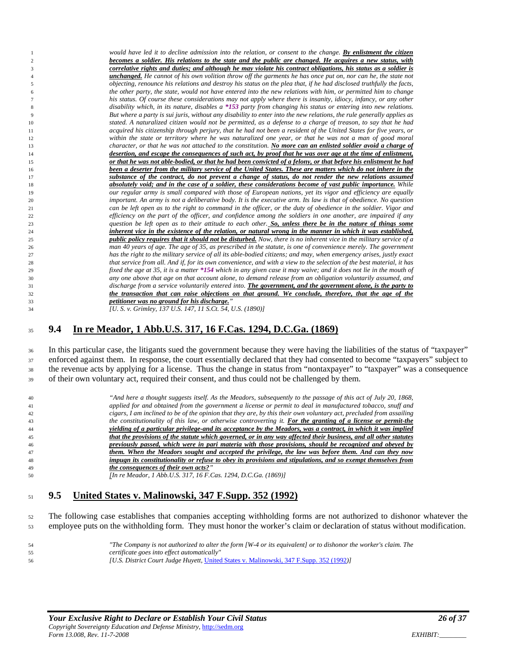| 1              | would have led it to decline admission into the relation, or consent to the change. By enlistment the citizen              |
|----------------|----------------------------------------------------------------------------------------------------------------------------|
| 2              | becomes a soldier. His relations to the state and the public are changed. He acquires a new status, with                   |
| 3              | correlative rights and duties; and although he may violate his contract obligations, his status as a soldier is            |
| $\overline{4}$ | <b>unchanged.</b> He cannot of his own volition throw off the garments he has once put on, nor can he, the state not       |
| 5              | objecting, renounce his relations and destroy his status on the plea that, if he had disclosed truthfully the facts,       |
| 6              | the other party, the state, would not have entered into the new relations with him, or permitted him to change             |
| 7              | his status. Of course these considerations may not apply where there is insanity, idiocy, infancy, or any other            |
| 8              | disability which, in its nature, disables $a * 153$ party from changing his status or entering into new relations.         |
| 9              | But where a party is sui juris, without any disability to enter into the new relations, the rule generally applies as      |
| 10             | stated. A naturalized citizen would not be permitted, as a defense to a charge of treason, to say that he had              |
| 11             | acquired his citizenship through perjury, that he had not been a resident of the United States for five years, or          |
| 12             | within the state or territory where he was naturalized one year, or that he was not a man of good moral                    |
| 13             | character, or that he was not attached to the constitution. No more can an enlisted soldier avoid a charge of              |
| 14             | desertion, and escape the consequences of such act, by proof that he was over age at the time of enlistment,               |
| 15             | or that he was not able-bodied, or that he had been convicted of a felony, or that before his enlistment he had            |
| 16             | been a deserter from the military service of the United States. These are matters which do not inhere in the               |
| 17             | substance of the contract, do not prevent a change of status, do not render the new relations assumed                      |
| 18             | absolutely void; and in the case of a soldier, these considerations become of vast public importance. While                |
| 19             | our regular army is small compared with those of European nations, yet its vigor and efficiency are equally                |
| 20             | important. An army is not a deliberative body. It is the executive arm. Its law is that of obedience. No question          |
| 21             | can be left open as to the right to command in the officer, or the duty of obedience in the soldier. Vigor and             |
| 22             | efficiency on the part of the officer, and confidence among the soldiers in one another, are impaired if any               |
| 23             | question be left open as to their attitude to each other. So, unless there be in the nature of things some                 |
| 24             | inherent vice in the existence of the relation, or natural wrong in the manner in which it was established,                |
| 25             | <b>public policy requires that it should not be disturbed.</b> Now, there is no inherent vice in the military service of a |
| 26             | man 40 years of age. The age of 35, as prescribed in the statute, is one of convenience merely. The government             |
| 27             | has the right to the military service of all its able-bodied citizens; and may, when emergency arises, justly exact        |
| 28             | that service from all. And if, for its own convenience, and with a view to the selection of the best material, it has      |
| 29             | fixed the age at 35, it is a matter *154 which in any given case it may waive; and it does not lie in the mouth of         |
| 30             | any one above that age on that account alone, to demand release from an obligation voluntarily assumed, and                |
| 31             | discharge from a service voluntarily entered into. The government, and the government alone, is the party to               |
| 32             | the transaction that can raise objections on that ground. We conclude, therefore, that the age of the                      |
| 33             | petitioner was no ground for his discharge."                                                                               |

<span id="page-25-0"></span>*[U. S. v. Grimley, 137 U.S. 147, 11 S.Ct. 54, U.S. (1890)]*

#### **9.4 In re Meador, 1 Abb.U.S. 317, 16 F.Cas. 1294, D.C.Ga. (1869)**

 In this particular case, the litigants sued the government because they were having the liabilities of the status of "taxpayer" enforced against them. In response, the court essentially declared that they had consented to become "taxpayers" subject to the revenue acts by applying for a license. Thus the change in status from "nontaxpayer" to "taxpayer" was a consequence of their own voluntary act, required their consent, and thus could not be challenged by them.

 *"And here a thought suggests itself. As the Meadors, subsequently to the passage of this act of July 20, 1868, applied for and obtained from the government a license or permit to deal in manufactured tobacco, snuff and cigars, I am inclined to be of the opinion that they are, by this their own voluntary act, precluded from assailing the constitutionality of this law, or otherwise controverting it. For the granting of a license or permit-the yielding of a particular privilege-and its acceptance by the Meadors, was a contract, in which it was implied that the provisions of the statute which governed, or in any way affected their business, and all other statutes previously passed, which were in pari materia with those provisions, should be recognized and obeyed by them. When the Meadors sought and accepted the privilege, the law was before them. And can they now impugn its constitutionality or refuse to obey its provisions and stipulations, and so exempt themselves from the consequences of their own acts?"*

<span id="page-25-1"></span>*[In re Meador, 1 Abb.U.S. 317, 16 F.Cas. 1294, D.C.Ga. (1869)]*

#### **9.5 United States v. Malinowski, 347 F.Supp. 352 (1992)**

 The following case establishes that companies accepting withholding forms are not authorized to dishonor whatever the employee puts on the withholding form. They must honor the worker's claim or declaration of status without modification.

 *"The Company is not authorized to alter the form [W-4 or its equivalent] or to dishonor the worker's claim. The certificate goes into effect automatically" [U.S. District Court Judge Huyett,* [United States v. Malinowski, 347](http://famguardian.org/Subjects/Taxes/Articles/IncomeTaxVoluntary-USvMalinowski-347F.Supp347.pdf) F.Supp. 352 (1992*)]*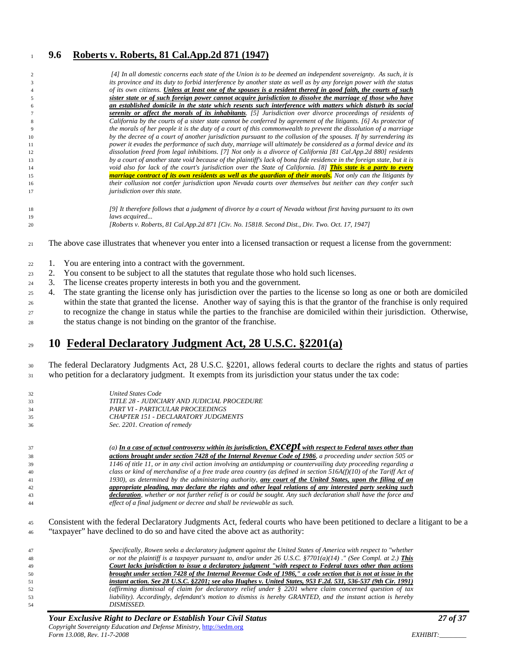#### <span id="page-26-0"></span>**9.6 Roberts v. Roberts, 81 Cal.App.2d 871 (1947)**

|    | [4] In all domestic concerns each state of the Union is to be deemed an independent sovereignty. As such, it is         |
|----|-------------------------------------------------------------------------------------------------------------------------|
| 3  | its province and its duty to forbid interference by another state as well as by any foreign power with the status       |
|    | of its own citizens. Unless at least one of the spouses is a resident thereof in good faith, the courts of such         |
| 5  | sister state or of such foreign power cannot acquire jurisdiction to dissolve the marriage of those who have            |
| 6  | an established domicile in the state which resents such interference with matters which disturb its social              |
|    | serenity or affect the morals of its inhabitants. [5] Jurisdiction over divorce proceedings of residents of             |
| 8  | California by the courts of a sister state cannot be conferred by agreement of the litigants. [6] As protector of       |
| 9  | the morals of her people it is the duty of a court of this commonwealth to prevent the dissolution of a marriage        |
| 10 | by the decree of a court of another jurisdiction pursuant to the collusion of the spouses. If by surrendering its       |
| 11 | power it evades the performance of such duty, marriage will ultimately be considered as a formal device and its         |
| 12 | dissolution freed from legal inhibitions. [7] Not only is a divorce of California [81 Cal.App.2d 880] residents         |
| 13 | by a court of another state void because of the plaintiff's lack of bona fide residence in the foreign state, but it is |
| 14 | void also for lack of the court's jurisdiction over the State of California. [8] <b>This state is a party to every</b>  |
| 15 | marriage contract of its own residents as well as the guardian of their morals. Not only can the litigants by           |
| 16 | their collusion not confer jurisdiction upon Nevada courts over themselves but neither can they confer such             |
| 17 | jurisdiction over this state.                                                                                           |
| 18 | [9] It therefore follows that a judgment of divorce by a court of Nevada without first having pursuant to its own       |
| 19 | laws acquired                                                                                                           |

*[Roberts v. Roberts, 81 Cal.App.2d 871 [Civ. No. 15818. Second Dist., Div. Two. Oct. 17, 1947]*

- The above case illustrates that whenever you enter into a licensed transaction or request a license from the government:
- 1. You are entering into a contract with the government.
- 2. You consent to be subject to all the statutes that regulate those who hold such licenses.
- 3. The license creates property interests in both you and the government.
- 4. The state granting the license only has jurisdiction over the parties to the license so long as one or both are domiciled within the state that granted the license. Another way of saying this is that the grantor of the franchise is only required to recognize the change in status while the parties to the franchise are domiciled within their jurisdiction. Otherwise, the status change is not binding on the grantor of the franchise.

# <span id="page-26-1"></span>**10 Federal Declaratory Judgment Act, 28 U.S.C. §2201(a)**

 The federal Declaratory Judgments Act, 28 U.S.C. §2201, allows federal courts to declare the rights and status of parties who petition for a declaratory judgment. It exempts from its jurisdiction your status under the tax code:

| 32 | <b>United States Code</b>                                                                                                    |
|----|------------------------------------------------------------------------------------------------------------------------------|
| 33 | TITLE 28 - JUDICIARY AND JUDICIAL PROCEDURE                                                                                  |
| 34 | <b>PART VI - PARTICULAR PROCEEDINGS</b>                                                                                      |
| 35 | CHAPTER 151 - DECLARATORY JUDGMENTS                                                                                          |
| 36 | Sec. 2201. Creation of remedy                                                                                                |
| 37 | (a) In a case of actual controversy within its jurisdiction, $\alpha x$ cept with respect to Federal taxes other than        |
| 38 | actions brought under section 7428 of the Internal Revenue Code of 1986, a proceeding under section 505 or                   |
| 39 | 1146 of title 11, or in any civil action involving an antidumping or countervailing duty proceeding regarding a              |
| 40 | class or kind of merchandise of a free trade area country (as defined in section $516A(f)(10)$ of the Tariff Act of          |
| 41 | 1930), as determined by the administering authority, any court of the United States, upon the filing of an                   |
| 42 | appropriate pleading, may declare the rights and other legal relations of any interested party seeking such                  |
| 43 | declaration, whether or not further relief is or could be sought. Any such declaration shall have the force and              |
| 44 | effect of a final judgment or decree and shall be reviewable as such.                                                        |
| 45 | Consistent with the federal Declaratory Judgments Act, federal courts who have been petitioned to declare a litigant to be a |
| 46 | "taxpayer" have declined to do so and have cited the above act as authority:                                                 |
|    |                                                                                                                              |
| 47 | Specifically, Rowen seeks a declaratory judgment against the United States of America with respect to "whether               |
| 48 | or not the plaintiff is a taxpayer pursuant to, and/or under 26 U.S.C. §7701(a)(14)." (See Compl. at 2.) This                |
| 49 | Court lacks jurisdiction to issue a declaratory judgment "with respect to Federal taxes other than actions"                  |
| 50 | brought under section 7428 of the Internal Revenue Code of 1986," a code section that is not at issue in the                 |
| 51 | instant action. See 28 U.S.C. §2201; see also Hughes v. United States, 953 F.2d. 531, 536-537 (9th Cir. 1991)                |
| 52 | (affirming dismissal of claim for declaratory relief under § 2201 where claim concerned question of tax                      |
| 53 | liability). Accordingly, defendant's motion to dismiss is hereby GRANTED, and the instant action is hereby                   |
| 54 | <b>DISMISSED.</b>                                                                                                            |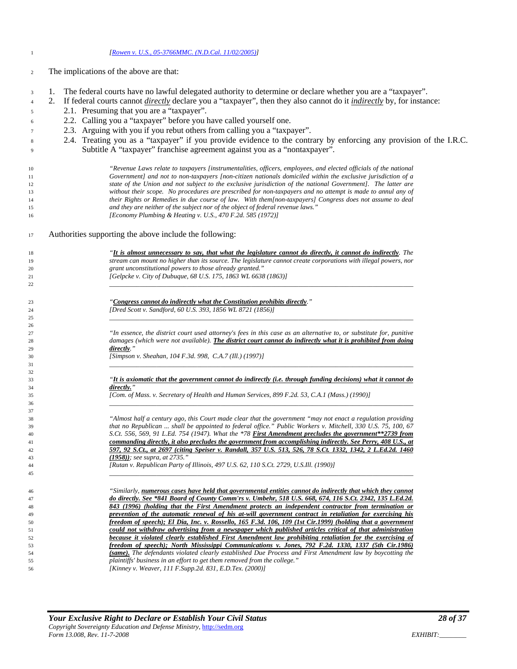*[\[Rowen v. U.S., 05-3766MMC. \(N.D.Cal. 11/02/2005\)\]](http://famguardian.org/TaxFreedom/CitesByTopic/Taxpayer-RowenVUS-05-3766MMC.pdf)*

| $\sqrt{2}$ | The implications of the above are that:                                                                                                                                                                                                                       |
|------------|---------------------------------------------------------------------------------------------------------------------------------------------------------------------------------------------------------------------------------------------------------------|
| 3<br>4     | The federal courts have no lawful delegated authority to determine or declare whether you are a "taxpayer".<br>1.<br>If federal courts cannot <i>directly</i> declare you a "taxpayer", then they also cannot do it <i>indirectly</i> by, for instance:<br>2. |
| 5          | 2.1. Presuming that you are a "taxpayer".                                                                                                                                                                                                                     |
| 6          | 2.2. Calling you a "taxpayer" before you have called yourself one.                                                                                                                                                                                            |
|            | 2.3. Arguing with you if you rebut others from calling you a "taxpayer".                                                                                                                                                                                      |
|            | 2.4. Treating you as a "taxpayer" if you provide evidence to the contrary by enforcing any provision of the I.R.C.                                                                                                                                            |
| 9          | Subtitle A "taxpayer" franchise agreement against you as a "nontaxpayer".                                                                                                                                                                                     |
|            |                                                                                                                                                                                                                                                               |
| 10         | "Revenue Laws relate to taxpayers [instrumentalities, officers, employees, and elected officials of the national                                                                                                                                              |
| 11         | Government] and not to non-taxpayers [non-citizen nationals domiciled within the exclusive jurisdiction of a                                                                                                                                                  |
| 12         | state of the Union and not subject to the exclusive jurisdiction of the national Government]. The latter are                                                                                                                                                  |
| 13<br>14   | without their scope. No procedures are prescribed for non-taxpayers and no attempt is made to annul any of<br>their Rights or Remedies in due course of law. With them[non-taxpayers] Congress does not assume to deal                                        |
| 15         | and they are neither of the subject nor of the object of federal revenue laws."                                                                                                                                                                               |
| 16         | [Economy Plumbing & Heating v. U.S., 470 F.2d. 585 (1972)]                                                                                                                                                                                                    |
| 17         | Authorities supporting the above include the following:                                                                                                                                                                                                       |
| 18<br>19   | "It is almost unnecessary to say, that what the legislature cannot do directly, it cannot do indirectly. The<br>stream can mount no higher than its source. The legislature cannot create corporations with illegal powers, nor                               |
| 20         | grant unconstitutional powers to those already granted."                                                                                                                                                                                                      |
| 21         | [Gelpcke v. City of Dubuque, 68 U.S. 175, 1863 WL 6638 (1863)]                                                                                                                                                                                                |
| 22         |                                                                                                                                                                                                                                                               |
| 23         | "Congress cannot do indirectly what the Constitution prohibits directly."                                                                                                                                                                                     |
| 24         | [Dred Scott v. Sandford, 60 U.S. 393, 1856 WL 8721 (1856)]                                                                                                                                                                                                    |
| 25         |                                                                                                                                                                                                                                                               |
| 26         | "In essence, the district court used attorney's fees in this case as an alternative to, or substitute for, punitive                                                                                                                                           |
| 27<br>28   | damages (which were not available). The district court cannot do indirectly what it is prohibited from doing                                                                                                                                                  |
| 29         | directly."                                                                                                                                                                                                                                                    |
| 30         | [Simpson v. Sheahan, 104 F.3d. 998, C.A.7 (Ill.) (1997)]                                                                                                                                                                                                      |
| 31         |                                                                                                                                                                                                                                                               |
| 32         |                                                                                                                                                                                                                                                               |
| 33         | "It is axiomatic that the government cannot do indirectly (i.e. through funding decisions) what it cannot do                                                                                                                                                  |
| 34         | directly."                                                                                                                                                                                                                                                    |
| 35         | [Com. of Mass. v. Secretary of Health and Human Services, 899 F.2d. 53, C.A.1 (Mass.) (1990)]                                                                                                                                                                 |
| 36         |                                                                                                                                                                                                                                                               |
| 37         |                                                                                                                                                                                                                                                               |
| 38         | "Almost half a century ago, this Court made clear that the government "may not enact a regulation providing<br>that no Republican  shall be appointed to federal office." Public Workers v. Mitchell, 330 U.S. 75, 100, 67                                    |
| 39         | S.Ct. 556, 569, 91 L.Ed. 754 (1947). What the *78 First Amendment precludes the government**2739 from                                                                                                                                                         |
| 40<br>41   | commanding directly, it also precludes the government from accomplishing indirectly. See Perry, 408 U.S., at                                                                                                                                                  |
| 42         | 597, 92 S.Ct., at 2697 (citing Speiser v. Randall, 357 U.S. 513, 526, 78 S.Ct. 1332, 1342, 2 L.Ed.2d. 1460                                                                                                                                                    |
| 43         | $(1958)$ ; see supra, at 2735."                                                                                                                                                                                                                               |
| 44         | [Rutan v. Republican Party of Illinois, 497 U.S. 62, 110 S.Ct. 2729, U.S.Ill. (1990)]                                                                                                                                                                         |
| 45         |                                                                                                                                                                                                                                                               |
| 46         | "Similarly, numerous cases have held that governmental entities cannot do indirectly that which they cannot                                                                                                                                                   |
| 47         | do directly. See *841 Board of County Comm'rs v. Umbehr, 518 U.S. 668, 674, 116 S.Ct. 2342, 135 L.Ed.2d.                                                                                                                                                      |
| 48         | 843 (1996) (holding that the First Amendment protects an independent contractor from termination or                                                                                                                                                           |
| 49         | prevention of the automatic renewal of his at-will government contract in retaliation for exercising his                                                                                                                                                      |
| 50         | freedom of speech); El Dia, Inc. v. Rossello, 165 F.3d. 106, 109 (1st Cir.1999) (holding that a government                                                                                                                                                    |
| 51         | could not withdraw advertising from a newspaper which published articles critical of that administration                                                                                                                                                      |
| 52         | because it violated clearly established First Amendment law prohibiting retaliation for the exercising of<br>freedom of speech); North Mississippi Communications v. Jones, 792 F.2d. 1330, 1337 (5th Cir.1986)                                               |
| 53<br>54   | (same). The defendants violated clearly established Due Process and First Amendment law by boycotting the                                                                                                                                                     |
| 55         | plaintiffs' business in an effort to get them removed from the college."                                                                                                                                                                                      |
| 56         | [Kinney v. Weaver, 111 F. Supp. 2d. 831, E.D. Tex. (2000)]                                                                                                                                                                                                    |
|            |                                                                                                                                                                                                                                                               |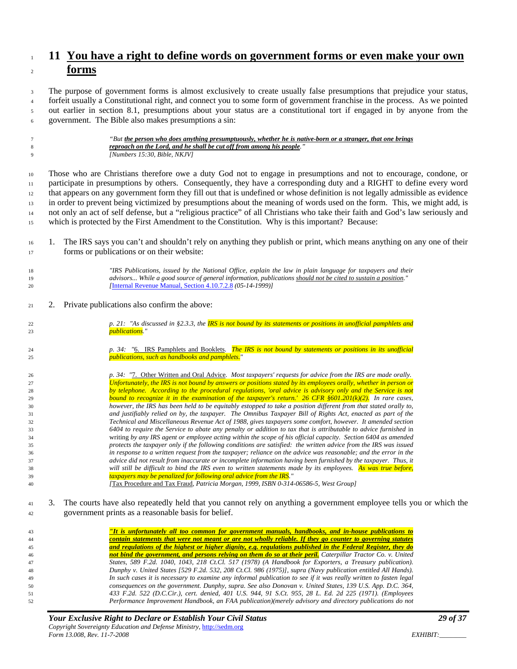# <span id="page-28-0"></span> **11 You have a right to define words on government forms or even make your own forms**

 The purpose of government forms is almost exclusively to create usually false presumptions that prejudice your status, forfeit usually a Constitutional right, and connect you to some form of government franchise in the process. As we pointed out earlier in section [8.1,](#page-20-1) presumptions about your status are a constitutional tort if engaged in by anyone from the government. The Bible also makes presumptions a sin:

 *"But the person who does anything presumptuously, whether he is native-born or a stranger, that one brings reproach on the Lord, and he shall be cut off from among his people." [Numbers 15:30, Bible, NKJV]*

 Those who are Christians therefore owe a duty God not to engage in presumptions and not to encourage, condone, or participate in presumptions by others. Consequently, they have a corresponding duty and a RIGHT to define every word that appears on any government form they fill out that is undefined or whose definition is not legally admissible as evidence in order to prevent being victimized by presumptions about the meaning of words used on the form. This, we might add, is not only an act of self defense, but a "religious practice" of all Christians who take their faith and God's law seriously and which is protected by the First Amendment to the Constitution. Why is this important? Because:

- 1. The IRS says you can't and shouldn't rely on anything they publish or print, which means anything on any one of their forms or publications or on their website:
- *"IRS Publications, issued by the National Office, explain the law in plain language for taxpayers and their advisors... While a good source of general information, publications should not be cited to sustain a position." [*[Internal Revenue Manual, Section 4.10.7.2.8](http://www.irs.gov/irm/part4/ch09s11.html) *(05-14-1999)]*
- 2. Private publications also confirm the above:
- *p. 21: "As discussed in §2.3.3, the IRS is not bound by its statements or positions in unofficial pamphlets and publications."*
- *p. 34: "*6. IRS Pamphlets and Booklets*. The IRS is not bound by statements or positions in its unofficial publications, such as handbooks and pamphlets."*
- *p. 34: "*7. Other Written and Oral Advice*. Most taxpayers' requests for advice from the IRS are made orally. Unfortunately, the IRS is not bound by answers or positions stated by its employees orally, whether in person or by telephone. According to the procedural regulations, 'oral advice is advisory only and the Service is not bound to recognize it in the examination of the taxpayer's return.' 26 CFR §601.201(k)(2). In rare cases, however, the IRS has been held to be equitably estopped to take a position different from that stated orally to, and justifiably relied on by, the taxpayer. The Omnibus Taxpayer Bill of Rights Act, enacted as part of the Technical and Miscellaneous Revenue Act of 1988, gives taxpayers some comfort, however. It amended section 6404 to require the Service to abate any penalty or addition to tax that is attributable to advice furnished* in writing *by any IRS agent or employee acting within the scope of his official capacity. Section 6404 as amended protects the taxpayer only if the following conditions are satisfied: the written advice from the IRS was issued in response to a written request from the taxpayer; reliance on the advice was reasonable; and the error in the advice did not result from inaccurate or incomplete information having been furnished by the taxpayer. Thus, it will still be difficult to bind the IRS even to written statements made by its employees. As was true before, taxpayers may be penalized for following oral advice from the IRS." [*Tax Procedure and Tax Fraud*, Patricia Morgan, 1999, ISBN 0-314-06586-5, West Group]*
- 3. The courts have also repeatedly held that you cannot rely on anything a government employee tells you or which the government prints as a reasonable basis for belief.
- *"It is unfortunately all too common for government manuals, handbooks, and in-house publications to contain statements that were not meant or are not wholly reliable. If they go counter to governing statutes and regulations of the highest or higher dignity, e.g. regulations published in the Federal Register, they do not bind the government, and persons relying on them do so at their peril. Caterpillar Tractor Co. v. United States, 589 F.2d. 1040, 1043, 218 Ct.Cl. 517 (1978) (A Handbook for Exporters, a Treasury publication). Dunphy v. United States [529 F.2d. 532, 208 Ct.Cl. 986 (1975)], supra (Navy publication entitled All Hands). In such cases it is necessary to examine any informal publication to see if it was really written to fasten legal consequences on the government. Dunphy, supra. See also Donovan v. United States, 139 U.S. App. D.C. 364, 433 F.2d. 522 (D.C.Cir.), cert. denied, 401 U.S. 944, 91 S.Ct. 955, 28 L. Ed. 2d 225 (1971). (Employees Performance Improvement Handbook, an FAA publication)(merely advisory and directory publications do not*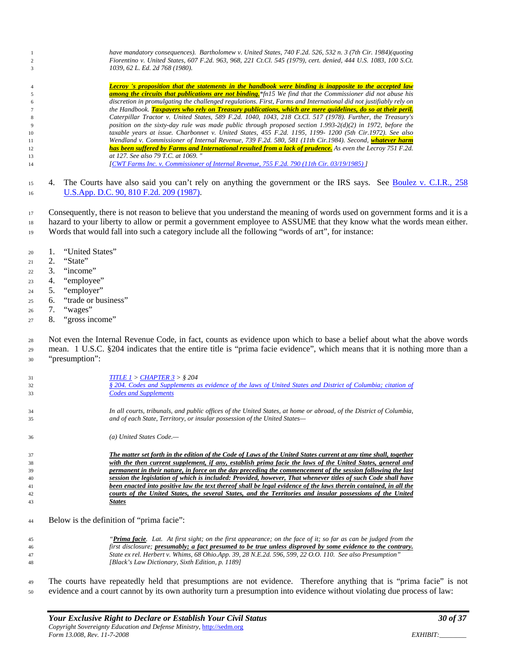| $\mathbf{1}$   |    | have mandatory consequences). Bartholomew v. United States, 740 F.2d. 526, 532 n. 3 (7th Cir. 1984)(quoting                                                                                                                  |
|----------------|----|------------------------------------------------------------------------------------------------------------------------------------------------------------------------------------------------------------------------------|
| 2<br>3         |    | Fiorentino v. United States, 607 F.2d. 963, 968, 221 Ct.Cl. 545 (1979), cert. denied, 444 U.S. 1083, 100 S.Ct.<br>1039, 62 L. Ed. 2d 768 (1980).                                                                             |
| $\overline{4}$ |    | Lecroy 's proposition that the statements in the handbook were binding is inapposite to the accepted law                                                                                                                     |
| 5              |    | among the circuits that publications are not binding. <sup>*</sup> fn15 We find that the Commissioner did not abuse his                                                                                                      |
| 6              |    | discretion in promulgating the challenged regulations. First, Farms and International did not justifiably rely on                                                                                                            |
| 7              |    | the Handbook. Taxpayers who rely on Treasury publications, which are mere guidelines, do so at their peril.                                                                                                                  |
| 8              |    | Caterpillar Tractor v. United States, 589 F.2d. 1040, 1043, 218 Ct.Cl. 517 (1978). Further, the Treasury's                                                                                                                   |
| 9              |    | position on the sixty-day rule was made public through proposed section 1.993-2(d)(2) in 1972, before the                                                                                                                    |
| 10             |    | taxable years at issue. Charbonnet v. United States, 455 F.2d. 1195, 1199- 1200 (5th Cir.1972). See also                                                                                                                     |
| 11             |    | Wendland v. Commissioner of Internal Revenue, 739 F.2d. 580, 581 (11th Cir.1984). Second, <i>whatever harm</i>                                                                                                               |
| 12             |    | has been suffered by Farms and International resulted from a lack of prudence. As even the Lecroy 751 F.2d.                                                                                                                  |
| 13             |    | at 127. See also 79 T.C. at 1069. "                                                                                                                                                                                          |
| 14             |    | [CWT Farms Inc. v. Commissioner of Internal Revenue, 755 F.2d. 790 (11th Cir. 03/19/1985)]                                                                                                                                   |
| 15             | 4. | The Courts have also said you can't rely on anything the government or the IRS says. See Boulez v. C.I.R., 258                                                                                                               |
| 16             |    | U.S.App. D.C. 90, 810 F.2d. 209 (1987).                                                                                                                                                                                      |
| 17             |    | Consequently, there is not reason to believe that you understand the meaning of words used on government forms and it is a                                                                                                   |
| 18<br>19       |    | hazard to your liberty to allow or permit a government employee to ASSUME that they know what the words mean either.<br>Words that would fall into such a category include all the following "words of art", for instance:   |
| 20             | 1. | "United States"                                                                                                                                                                                                              |
|                | 2. | "State"                                                                                                                                                                                                                      |
| 21             |    |                                                                                                                                                                                                                              |
| 22             | 3. | "income"                                                                                                                                                                                                                     |
| 23             | 4. | "employee"                                                                                                                                                                                                                   |
| 24             | 5. | "employer"                                                                                                                                                                                                                   |
| 25             | 6. | "trade or business"                                                                                                                                                                                                          |
| 26             | 7. | "wages"                                                                                                                                                                                                                      |
| 27             | 8. | "gross income"                                                                                                                                                                                                               |
|                |    | Not even the Internal Revenue Code, in fact, counts as evidence upon which to base a belief about what the above words                                                                                                       |
| 28             |    | mean. 1 U.S.C. §204 indicates that the entire title is "prima facie evidence", which means that it is nothing more than a                                                                                                    |
| 29<br>30       |    | "presumption":                                                                                                                                                                                                               |
| 31             |    | $TITLE$ 1 > CHAPTER 3 > § 204                                                                                                                                                                                                |
| 32             |    | § 204. Codes and Supplements as evidence of the laws of United States and District of Columbia; citation of                                                                                                                  |
| 33             |    | <b>Codes and Supplements</b>                                                                                                                                                                                                 |
| 34             |    | In all courts, tribunals, and public offices of the United States, at home or abroad, of the District of Columbia,                                                                                                           |
| 35             |    | and of each State, Territory, or insular possession of the United States-                                                                                                                                                    |
| 36             |    | (a) United States Code.—                                                                                                                                                                                                     |
| 37             |    | The matter set forth in the edition of the Code of Laws of the United States current at any time shall, together                                                                                                             |
| 38             |    | with the then current supplement, if any, establish prima facie the laws of the United States, general and                                                                                                                   |
| 39<br>40       |    | permanent in their nature, in force on the day preceding the commencement of the session following the last<br>session the legislation of which is included: Provided, however, That whenever titles of such Code shall have |
| 41             |    | been enacted into positive law the text thereof shall be legal evidence of the laws therein contained, in all the                                                                                                            |
| 42             |    | courts of the United States, the several States, and the Territories and insular possessions of the United                                                                                                                   |
| 43             |    | <b>States</b>                                                                                                                                                                                                                |
| 44             |    | Below is the definition of "prima facie":                                                                                                                                                                                    |
| 45             |    | " <b>Prima facie</b> . Lat. At first sight; on the first appearance; on the face of it; so far as can be judged from the                                                                                                     |
| 46             |    | first disclosure; presumably; a fact presumed to be true unless disproved by some evidence to the contrary.                                                                                                                  |
| 47             |    | State ex rel. Herbert v. Whims, 68 Ohio.App. 39, 28 N.E.2d. 596, 599, 22 O.O. 110. See also Presumption"                                                                                                                     |
| 48             |    | [Black's Law Dictionary, Sixth Edition, p. 1189]                                                                                                                                                                             |
| 49             |    | The courts have repeatedly held that presumptions are not evidence. Therefore anything that is "prima facie" is not                                                                                                          |
| 50             |    | evidence and a court cannot by its own authority turn a presumption into evidence without violating due process of law:                                                                                                      |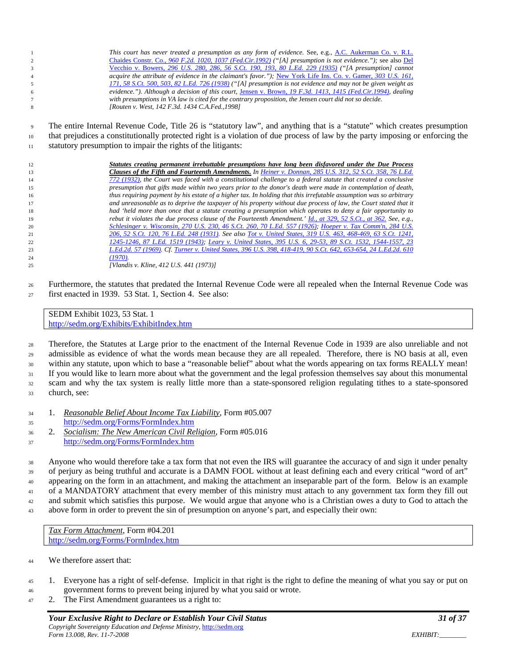| This court has never treated a presumption as any form of evidence. See, e.g., A.C. Aukerman Co. v. R.L.     |
|--------------------------------------------------------------------------------------------------------------|
| Chaides Constr. Co., 960 F.2d. 1020, 1037 (Fed.Cir.1992) ("[A] presumption is not evidence."); see also Del  |
| Vecchio v. Bowers, 296 U.S. 280, 286, 56 S.Ct. 190, 193, 80 L.Ed. 229 (1935) ("[A presumption] cannot        |
| acquire the attribute of evidence in the claimant's favor."), New York Life Ins. Co. v. Gamer, 303 U.S. 161, |
| 171, 58 S.Ct. 500, 503, 82 L.Ed. 726 (1938) ("[A] presumption is not evidence and may not be given weight as |
| evidence."). Although a decision of this court, Jensen v. Brown, 19 F.3d. 1413, 1415 (Fed.Cir.1994), dealing |
| with presumptions in VA law is cited for the contrary proposition, the Jensen court did not so decide.       |
| [Routen v. West, 142 F.3d. 1434 C.A.Fed., 1998]                                                              |

 The entire Internal Revenue Code, Title 26 is "statutory law", and anything that is a "statute" which creates presumption that prejudices a constitutionally protected right is a violation of due process of law by the party imposing or enforcing the statutory presumption to impair the rights of the litigants:

| 12 | Statutes creating permanent irrebuttable presumptions have long been disfavored under the Due Process              |
|----|--------------------------------------------------------------------------------------------------------------------|
| 13 | Clauses of the Fifth and Fourteenth Amendments. In Heiner v. Donnan, 285 U.S. 312, 52 S.Ct. 358, 76 L.Ed.          |
| 14 | 772 (1932), the Court was faced with a constitutional challenge to a federal statute that created a conclusive     |
| 15 | presumption that gifts made within two years prior to the donor's death were made in contemplation of death,       |
| 16 | thus requiring payment by his estate of a higher tax. In holding that this irrefutable assumption was so arbitrary |
| 17 | and unreasonable as to deprive the taxpayer of his property without due process of law, the Court stated that it   |
| 18 | had 'held more than once that a statute creating a presumption which operates to deny a fair opportunity to        |
| 19 | rebut it violates the due process clause of the Fourteenth Amendment.' Id., at 329, 52 S.Ct., at 362. See, e.g.,   |
| 20 | Schlesinger v. Wisconsin, 270 U.S. 230, 46 S.Ct. 260, 70 L.Ed. 557 (1926); Hoeper v. Tax Comm'n, 284 U.S.          |
| 21 | 206, 52 S.Ct. 120, 76 L.Ed. 248 (1931). See also Tot v. United States, 319 U.S. 463, 468-469, 63 S.Ct. 1241,       |
| 22 | 1245-1246, 87 L.Ed. 1519 (1943); Leary v. United States, 395 U.S. 6, 29-53, 89 S.Ct. 1532, 1544-1557, 23           |
| 23 | L.Ed.2d. 57 (1969). Cf. Turner v. United States, 396 U.S. 398, 418-419, 90 S.Ct. 642, 653-654, 24 L.Ed.2d. 610     |
| 24 | (1970).                                                                                                            |
| 25 | [Vlandis v. Kline, 412 U.S. 441 (1973)]                                                                            |

 Furthermore, the statutes that predated the Internal Revenue Code were all repealed when the Internal Revenue Code was first enacted in 1939. 53 Stat. 1, Section 4. See also:

SEDM Exhibit 1023, 53 Stat. 1 <http://sedm.org/Exhibits/ExhibitIndex.htm>

 Therefore, the Statutes at Large prior to the enactment of the Internal Revenue Code in 1939 are also unreliable and not 29 admissible as evidence of what the words mean because they are all repealed. Therefore, there is NO basis at all, even within any statute, upon which to base a "reasonable belief" about what the words appearing on tax forms REALLY mean! If you would like to learn more about what the government and the legal profession themselves say about this monumental scam and why the tax system is really little more than a state-sponsored religion regulating tithes to a state-sponsored church, see:

- 1. *Reasonable Belief About Income Tax Liability*, Form #05.007 <http://sedm.org/Forms/FormIndex.htm>
- 2. *Socialism: The New American Civil Religion*, Form #05.016 <http://sedm.org/Forms/FormIndex.htm>

 Anyone who would therefore take a tax form that not even the IRS will guarantee the accuracy of and sign it under penalty of perjury as being truthful and accurate is a DAMN FOOL without at least defining each and every critical "word of art" appearing on the form in an attachment, and making the attachment an inseparable part of the form. Below is an example of a MANDATORY attachment that every member of this ministry must attach to any government tax form they fill out and submit which satisfies this purpose. We would argue that anyone who is a Christian owes a duty to God to attach the above form in order to prevent the sin of presumption on anyone's part, and especially their own:

*Tax Form Attachment*, Form #04.201 <http://sedm.org/Forms/FormIndex.htm>

We therefore assert that:

- 1. Everyone has a right of self-defense. Implicit in that right is the right to define the meaning of what you say or put on government forms to prevent being injured by what you said or wrote.
- 2. The First Amendment guarantees us a right to: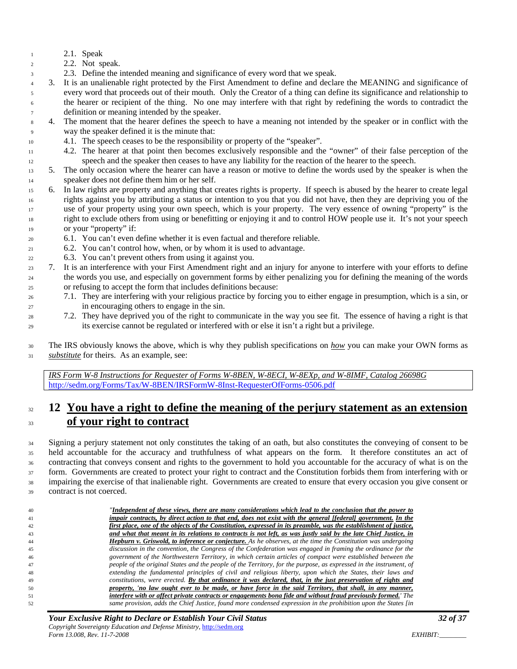- 2.1. Speak
- 2.2. Not speak.
- 2.3. Define the intended meaning and significance of every word that we speak.
- 3. It is an unalienable right protected by the First Amendment to define and declare the MEANING and significance of every word that proceeds out of their mouth. Only the Creator of a thing can define its significance and relationship to the hearer or recipient of the thing. No one may interfere with that right by redefining the words to contradict the definition or meaning intended by the speaker.
- 4. The moment that the hearer defines the speech to have a meaning not intended by the speaker or in conflict with the way the speaker defined it is the minute that:
- 4.1. The speech ceases to be the responsibility or property of the "speaker".
- 4.2. The hearer at that point then becomes exclusively responsible and the "owner" of their false perception of the speech and the speaker then ceases to have any liability for the reaction of the hearer to the speech.
- 5. The only occasion where the hearer can have a reason or motive to define the words used by the speaker is when the speaker does not define them him or her self.
- 6. In law rights are property and anything that creates rights is property. If speech is abused by the hearer to create legal rights against you by attributing a status or intention to you that you did not have, then they are depriving you of the use of your property using your own speech, which is your property. The very essence of owning "property" is the right to exclude others from using or benefitting or enjoying it and to control HOW people use it. It's not your speech or your "property" if:
- 6.1. You can't even define whether it is even factual and therefore reliable.
- 6.2. You can't control how, when, or by whom it is used to advantage.
- 6.3. You can't prevent others from using it against you.
- 7. It is an interference with your First Amendment right and an injury for anyone to interfere with your efforts to define the words you use, and especially on government forms by either penalizing you for defining the meaning of the words or refusing to accept the form that includes definitions because:
- 7.1. They are interfering with your religious practice by forcing you to either engage in presumption, which is a sin, or in encouraging others to engage in the sin.
- 7.2. They have deprived you of the right to communicate in the way you see fit. The essence of having a right is that its exercise cannot be regulated or interfered with or else it isn't a right but a privilege.

 The IRS obviously knows the above, which is why they publish specifications on *how* you can make your OWN forms as *substitute* for theirs. As an example, see:

<span id="page-31-0"></span>*IRS Form W-8 Instructions for Requester of Forms W-8BEN, W-8ECI, W-8EXp, and W-8IMF, Catalog 26698G* <http://sedm.org/Forms/Tax/W-8BEN/IRSFormW-8Inst-RequesterOfForms-0506.pdf>

# **12 You have a right to define the meaning of the perjury statement as an extension of your right to contract**

 Signing a perjury statement not only constitutes the taking of an oath, but also constitutes the conveying of consent to be held accountable for the accuracy and truthfulness of what appears on the form. It therefore constitutes an act of contracting that conveys consent and rights to the government to hold you accountable for the accuracy of what is on the form. Governments are created to protect your right to contract and the Constitution forbids them from interfering with or impairing the exercise of that inalienable right. Governments are created to ensure that every occasion you give consent or contract is not coerced.

| 40 | Independent of these views, there are many considerations which lead to the conclusion that the power to"           |
|----|---------------------------------------------------------------------------------------------------------------------|
| 41 | impair contracts, by direct action to that end, does not exist with the general [federal] government. In the        |
| 42 | first place, one of the objects of the Constitution, expressed in its preamble, was the establishment of justice,   |
| 43 | and what that meant in its relations to contracts is not left, as was justly said by the late Chief Justice, in     |
| 44 | <b>Hepburn v. Griswold, to inference or conjecture.</b> As he observes, at the time the Constitution was undergoing |
| 45 | discussion in the convention, the Congress of the Confederation was engaged in framing the ordinance for the        |
| 46 | government of the Northwestern Territory, in which certain articles of compact were established between the         |
| 47 | people of the original States and the people of the Territory, for the purpose, as expressed in the instrument, of  |
| 48 | extending the fundamental principles of civil and religious liberty, upon which the States, their laws and          |
| 49 | constitutions, were erected. By that ordinance it was declared, that, in the just preservation of rights and        |
| 50 | property, 'no law ought ever to be made, or have force in the said Territory, that shall, in any manner,            |
| 51 | interfere with or affect private contracts or engagements bona fide and without fraud previously formed.' The       |
| 52 | same provision, adds the Chief Justice, found more condensed expression in the prohibition upon the States [in      |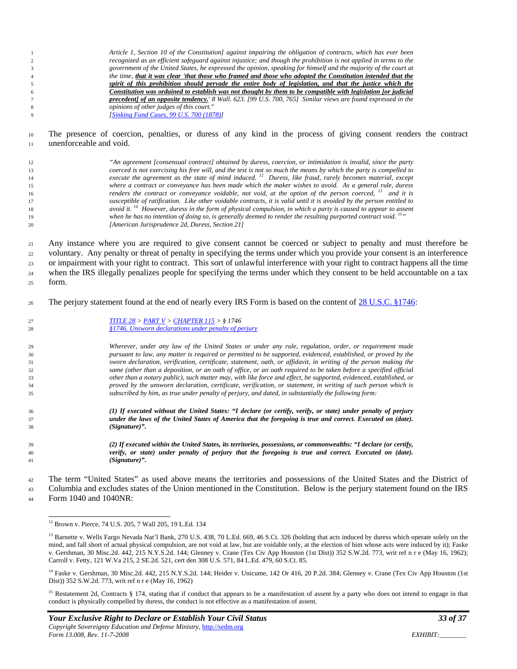| $\mathbf{1}$     | Article 1, Section 10 of the Constitution] against impairing the obligation of contracts, which has ever been                  |
|------------------|--------------------------------------------------------------------------------------------------------------------------------|
| $\sqrt{2}$       | recognized as an efficient safeguard against injustice; and though the prohibition is not applied in terms to the              |
| 3                | government of the United States, he expressed the opinion, speaking for himself and the majority of the court at               |
| $\overline{4}$   | the time, that it was clear 'that those who framed and those who adopted the Constitution intended that the                    |
| $\sqrt{5}$       | spirit of this prohibition should pervade the entire body of legislation, and that the justice which the                       |
| $\sqrt{6}$       | Constitution was ordained to establish was not thought by them to be compatible with legislation [or judicial                  |
| $\tau$           | precedent] of an opposite tendency.' 8 Wall. 623. [99 U.S. 700, 765] Similar views are found expressed in the                  |
| $\,$ 8 $\,$      | opinions of other judges of this court."                                                                                       |
| $\boldsymbol{9}$ | [Sinking Fund Cases, 99 U.S. 700 (1878)]                                                                                       |
|                  |                                                                                                                                |
| 10               | The presence of coercion, penalties, or duress of any kind in the process of giving consent renders the contract               |
| 11               | unenforceable and void.                                                                                                        |
|                  |                                                                                                                                |
|                  | "An agreement [consensual contract] obtained by duress, coercion, or intimidation is invalid, since the party                  |
| 12               | coerced is not exercising his free will, and the test is not so much the means by which the party is compelled to              |
| 13               | execute the agreement as the state of mind induced. $l^2$ Duress, like fraud, rarely becomes material, except                  |
| 14               | where a contract or conveyance has been made which the maker wishes to avoid. As a general rule, duress                        |
| 15               |                                                                                                                                |
| 16               | renders the contract or conveyance voidable, not void, at the option of the person coerced, $13$ and it is                     |
| 17               | susceptible of ratification. Like other voidable contracts, it is valid until it is avoided by the person entitled to          |
| 18               | avoid it. <sup>14</sup> However, duress in the form of physical compulsion, in which a party is caused to appear to assent     |
| 19               | when he has no intention of doing so, is generally deemed to render the resulting purported contract void. <sup>15</sup> "     |
| 20               | [American Jurisprudence 2d, Duress, Section 21]                                                                                |
|                  | Any instance where you are required to give consent cannot be coerced or subject to penalty and must therefore be              |
| 21               |                                                                                                                                |
| 22               | voluntary. Any penalty or threat of penalty in specifying the terms under which you provide your consent is an interference    |
| 23               | or impairment with your right to contract. This sort of unlawful interference with your right to contract happens all the time |
| 24               | when the IRS illegally penalizes people for specifying the terms under which they consent to be held accountable on a tax      |
|                  | form.                                                                                                                          |
| 25               |                                                                                                                                |
|                  | The perjury statement found at the end of nearly every IRS Form is based on the content of $28$ U.S.C. $§1746$ :               |
| 26               |                                                                                                                                |
|                  | TITLE $28 > PART V > CHAPTER 115 > $1746$                                                                                      |
| 27               | §1746. Unsworn declarations under penalty of perjury                                                                           |
| 28               |                                                                                                                                |
| 29               | Wherever, under any law of the United States or under any rule, regulation, order, or requirement made                         |
| 30               | pursuant to law, any matter is required or permitted to be supported, evidenced, established, or proved by the                 |
| 31               | sworn declaration, verification, certificate, statement, oath, or affidavit, in writing of the person making the               |
| 32               | same (other than a deposition, or an oath of office, or an oath required to be taken before a specified official               |
| 33               | other than a notary public), such matter may, with like force and effect, be supported, evidenced, established, or             |
| 34               | proved by the unsworn declaration, certificate, verification, or statement, in writing of such person which is                 |
| 35               | subscribed by him, as true under penalty of perjury, and dated, in substantially the following form:                           |
|                  |                                                                                                                                |
| 36               | (1) If executed without the United States: "I declare (or certify, verify, or state) under penalty of perjury                  |
| 37               | under the laws of the United States of America that the foregoing is true and correct. Executed on (date).                     |
| 38               | (Signature)".                                                                                                                  |
|                  |                                                                                                                                |
| 39               | (2) If executed within the United States, its territories, possessions, or commonwealths: "I declare (or certify,              |
| 40               | verify, or state) under penalty of perjury that the foregoing is true and correct. Executed on (date).                         |
| 41               | $(Signature)$ ".                                                                                                               |
|                  | The term "United States" as used above means the territories and possessions of the United States and the District of          |
| 42               |                                                                                                                                |
| 43               | Columbia and excludes states of the Union mentioned in the Constitution. Below is the perjury statement found on the IRS       |
| 44               | Form 1040 and 1040NR:                                                                                                          |
|                  |                                                                                                                                |
|                  |                                                                                                                                |

Brown v. Pierce, 74 U.S. 205, 7 Wall 205, 19 L.Ed. 134

<sup>&</sup>lt;sup>13</sup> Barnette v. Wells Fargo Nevada Nat'l Bank, 270 U.S. 438, 70 L.Ed. 669, 46 S.Ct. 326 (holding that acts induced by duress which operate solely on the mind, and fall short of actual physical compulsion, are not void at law, but are voidable only, at the election of him whose acts were induced by it); Faske v. Gershman, 30 Misc.2d. 442, 215 N.Y.S.2d. 144; Glenney v. Crane (Tex Civ App Houston (1st Dist)) 352 S.W.2d. 773, writ ref n r e (May 16, 1962); Carroll v. Fetty, 121 W.Va 215, 2 SE.2d. 521, cert den 308 U.S. 571, 84 L.Ed. 479, 60 S.Ct. 85.

<sup>&</sup>lt;sup>14</sup> Faske v. Gershman, 30 Misc.2d. 442, 215 N.Y.S.2d. 144; Heider v. Unicume, 142 Or 416, 20 P.2d. 384; Glenney v. Crane (Tex Civ App Houston (1st Dist)) 352 S.W.2d. 773, writ ref n r e (May 16, 1962)

<sup>&</sup>lt;sup>15</sup> Restatement 2d, Contracts § 174, stating that if conduct that appears to be a manifestation of assent by a party who does not intend to engage in that conduct is physically compelled by duress, the conduct is not effective as a manifestation of assent.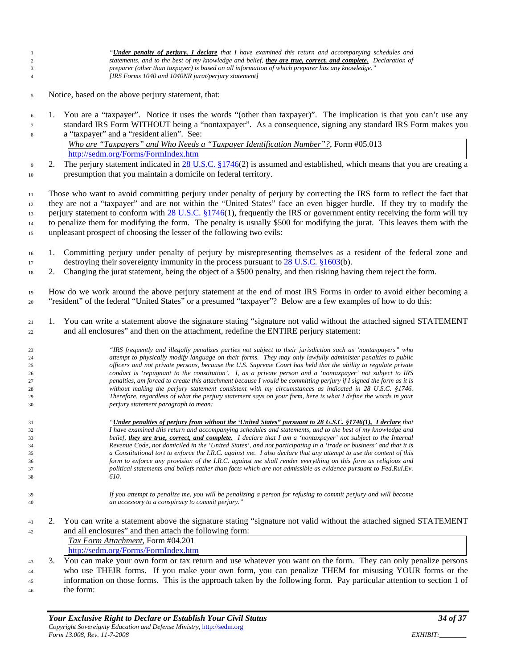| <b>"Under penalty of perjury, I declare</b> that I have examined this return and accompanying schedules and  |
|--------------------------------------------------------------------------------------------------------------|
| statements, and to the best of my knowledge and belief, they are true, correct, and complete. Declaration of |
| preparer (other than taxpayer) is based on all information of which preparer has any knowledge."             |
| [IRS Forms 1040 and 1040NR jurat/perjury statement]                                                          |

- Notice, based on the above perjury statement, that:
- 1. You are a "taxpayer". Notice it uses the words "(other than taxpayer)". The implication is that you can't use any standard IRS Form WITHOUT being a "nontaxpayer". As a consequence, signing any standard IRS Form makes you a "taxpayer" and a "resident alien". See:

| Who are                             |  | 'Taxpayers'' and Who Needs a "Taxpayer Identification Number"?, Form #05.013 |  |
|-------------------------------------|--|------------------------------------------------------------------------------|--|
| http://sedm.org/Forms/FormIndex.htm |  |                                                                              |  |

9 2. The perjury statement indicated in U.S.C.  $\S1746(2)$  is assumed and established, which means that you are creating a presumption that you maintain a domicile on federal territory.

 Those who want to avoid committing perjury under penalty of perjury by correcting the IRS form to reflect the fact that they are not a "taxpayer" and are not within the "United States" face an even bigger hurdle. If they try to modify the 13 perjury statement to conform with U.S.C.  $\S1746(1)$ , frequently the IRS or government entity receiving the form will try to penalize them for modifying the form. The penalty is usually \$500 for modifying the jurat. This leaves them with the unpleasant prospect of choosing the lesser of the following two evils:

- 1. Committing perjury under penalty of perjury by misrepresenting themselves as a resident of the federal zone and 17 destroying their sovereignty immunity in the process pursuant to [28 U.S.C. §1603\(](http://www4.law.cornell.edu/uscode/html/uscode28/usc_sec_28_00001603----000-.html)b).
- 2. Changing the jurat statement, being the object of a \$500 penalty, and then risking having them reject the form.

 How do we work around the above perjury statement at the end of most IRS Forms in order to avoid either becoming a "resident" of the federal "United States" or a presumed "taxpayer"? Below are a few examples of how to do this:

 1. You can write a statement above the signature stating "signature not valid without the attached signed STATEMENT and all enclosures" and then on the attachment, redefine the ENTIRE perjury statement:

| 23 |    | "IRS frequently and illegally penalizes parties not subject to their jurisdiction such as 'nontaxpayers" who           |
|----|----|------------------------------------------------------------------------------------------------------------------------|
| 24 |    | attempt to physically modify language on their forms. They may only lawfully administer penalties to public            |
| 25 |    | officers and not private persons, because the U.S. Supreme Court has held that the ability to regulate private         |
| 26 |    | conduct is 'repugnant to the constitution'. I, as a private person and a 'nontaxpayer' not subject to IRS              |
| 27 |    | penalties, am forced to create this attachment because I would be committing perjury if I signed the form as it is     |
| 28 |    | without making the perjury statement consistent with my circumstances as indicated in 28 U.S.C. §1746.                 |
| 29 |    | Therefore, regardless of what the perjury statement says on your form, here is what I define the words in your         |
| 30 |    | perjury statement paragraph to mean:                                                                                   |
| 31 |    | "Under penalties of perjury from without the 'United States'' pursuant to 28 U.S.C. §1746(1), I declare that           |
| 32 |    | I have examined this return and accompanying schedules and statements, and to the best of my knowledge and             |
| 33 |    | belief, they are true, correct, and complete. I declare that I am a 'nontaxpayer' not subject to the Internal          |
| 34 |    | Revenue Code, not domiciled in the 'United States', and not participating in a 'trade or business' and that it is      |
| 35 |    | a Constitutional tort to enforce the I.R.C. against me. I also declare that any attempt to use the content of this     |
| 36 |    | form to enforce any provision of the I.R.C. against me shall render everything on this form as religious and           |
| 37 |    | political statements and beliefs rather than facts which are not admissible as evidence pursuant to Fed.Rul.Ev.        |
| 38 |    | 610.                                                                                                                   |
| 39 |    | If you attempt to penalize me, you will be penalizing a person for refusing to commit perjury and will become          |
| 40 |    | an accessory to a conspiracy to commit perjury."                                                                       |
| 41 | 2. | You can write a statement above the signature stating "signature not valid without the attached signed STATEMENT       |
|    |    | and all enclosures" and then attach the following form:                                                                |
| 42 |    |                                                                                                                        |
|    |    | Tax Form Attachment, Form #04.201                                                                                      |
|    |    | http://sedm.org/Forms/FormIndex.htm                                                                                    |
| 43 | 3. | You can make your own form or tax return and use whatever you want on the form. They can only penalize persons         |
| 44 |    | who use THEIR forms. If you make your own form, you can penalize THEM for misusing YOUR forms or the                   |
| 45 |    | information on those forms. This is the approach taken by the following form. Pay particular attention to section 1 of |
| 46 |    | the form:                                                                                                              |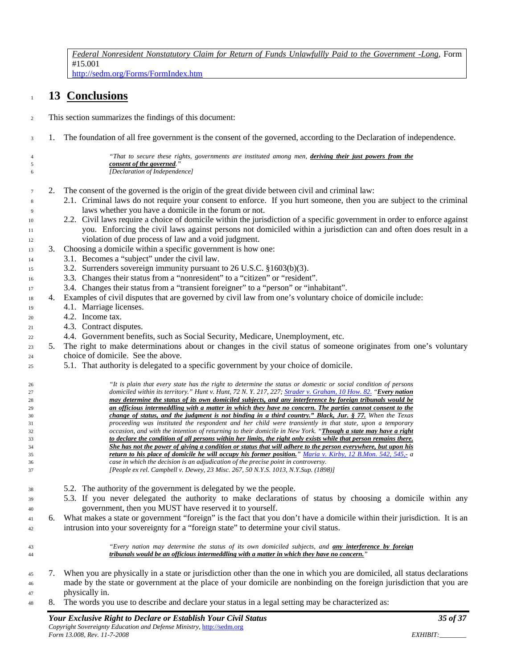*Federal Nonresident Nonstatutory Claim for Return of Funds Unlawfullly Paid to the Government -Long*, Form #15.001

<http://sedm.org/Forms/FormIndex.htm>

# <span id="page-34-0"></span>**13 Conclusions**

- This section summarizes the findings of this document:
- 1. The foundation of all free government is the consent of the governed, according to the Declaration of independence.

 *"That to secure these rights, governments are instituted among men, deriving their just powers from the consent of the governed." [Declaration of Independence]*

- 2. The consent of the governed is the origin of the great divide between civil and criminal law:
- 2.1. Criminal laws do not require your consent to enforce. If you hurt someone, then you are subject to the criminal laws whether you have a domicile in the forum or not.
- 2.2. Civil laws require a choice of domicile within the jurisdiction of a specific government in order to enforce against you. Enforcing the civil laws against persons not domiciled within a jurisdiction can and often does result in a violation of due process of law and a void judgment.
- 3. Choosing a domicile within a specific government is how one:
- 3.1. Becomes a "subject" under the civil law.
- 3.2. Surrenders sovereign immunity pursuant to 26 U.S.C. §1603(b)(3).
- 3.3. Changes their status from a "nonresident" to a "citizen" or "resident".
- 3.4. Changes their status from a "transient foreigner" to a "person" or "inhabitant".
- 4. Examples of civil disputes that are governed by civil law from one's voluntary choice of domicile include:
- 4.1. Marriage licenses.
- 4.2. Income tax.
- 4.3. Contract disputes.
- 4.4. Government benefits, such as Social Security, Medicare, Unemployment, etc.
- 5. The right to make determinations about or changes in the civil status of someone originates from one's voluntary choice of domicile. See the above.
- 5.1. That authority is delegated to a specific government by your choice of domicile.

| 26                         |    | "It is plain that every state has the right to determine the status or domestic or social condition of persons                                                                                                                                                                                                                                                                                                                                                     |
|----------------------------|----|--------------------------------------------------------------------------------------------------------------------------------------------------------------------------------------------------------------------------------------------------------------------------------------------------------------------------------------------------------------------------------------------------------------------------------------------------------------------|
| 27                         |    | domiciled within its territory." Hunt v. Hunt, 72 N. Y. 217, 227; Strader v. Graham, 10 How. 82. "Every nation                                                                                                                                                                                                                                                                                                                                                     |
| 28                         |    | may determine the status of its own domiciled subjects, and any interference by foreign tribunals would be                                                                                                                                                                                                                                                                                                                                                         |
| 29                         |    | an officious intermeddling with a matter in which they have no concern. The parties cannot consent to the                                                                                                                                                                                                                                                                                                                                                          |
| 30                         |    | change of status, and the judgment is not binding in a third country." Black, Jur. § 77. When the Texas                                                                                                                                                                                                                                                                                                                                                            |
| 31                         |    | proceeding was instituted the respondent and her child were transiently in that state, upon a temporary                                                                                                                                                                                                                                                                                                                                                            |
| 32                         |    | occasion, and with the intention of returning to their domicile in New York. "Though a state may have a right                                                                                                                                                                                                                                                                                                                                                      |
| 33                         |    | to declare the condition of all persons within her limits, the right only exists while that person remains there.                                                                                                                                                                                                                                                                                                                                                  |
| 34                         |    | She has not the power of giving a condition or status that will adhere to the person everywhere, but upon his                                                                                                                                                                                                                                                                                                                                                      |
| 35                         |    | return to his place of domicile he will occupy his former position." Maria v. Kirby, 12 B.Mon. 542, 545,- a                                                                                                                                                                                                                                                                                                                                                        |
| 36                         |    | case in which the decision is an adjudication of the precise point in controversy.                                                                                                                                                                                                                                                                                                                                                                                 |
| 37                         |    | [People ex rel. Campbell v. Dewey, 23 Misc. 267, 50 N.Y.S. 1013, N.Y.Sup. (1898)]                                                                                                                                                                                                                                                                                                                                                                                  |
| 38<br>39<br>40<br>41<br>42 | 6. | 5.2. The authority of the government is delegated by we the people.<br>5.3. If you never delegated the authority to make declarations of status by choosing a domicile within any<br>government, then you MUST have reserved it to yourself.<br>What makes a state or government "foreign" is the fact that you don't have a domicile within their jurisdiction. It is an<br>intrusion into your sovereignty for a "foreign state" to determine your civil status. |
| 43                         |    | "Every nation may determine the status of its own domiciled subjects, and any interference by foreign                                                                                                                                                                                                                                                                                                                                                              |
| 44                         |    | tribunals would be an officious intermeddling with a matter in which they have no concern."                                                                                                                                                                                                                                                                                                                                                                        |
| 45<br>46<br>47             |    | 7. When you are physically in a state or jurisdiction other than the one in which you are domiciled, all status declarations<br>made by the state or government at the place of your domicile are nonbinding on the foreign jurisdiction that you are<br>physically in.                                                                                                                                                                                            |
| 48                         | 8. | The words you use to describe and declare your status in a legal setting may be characterized as:                                                                                                                                                                                                                                                                                                                                                                  |
|                            |    |                                                                                                                                                                                                                                                                                                                                                                                                                                                                    |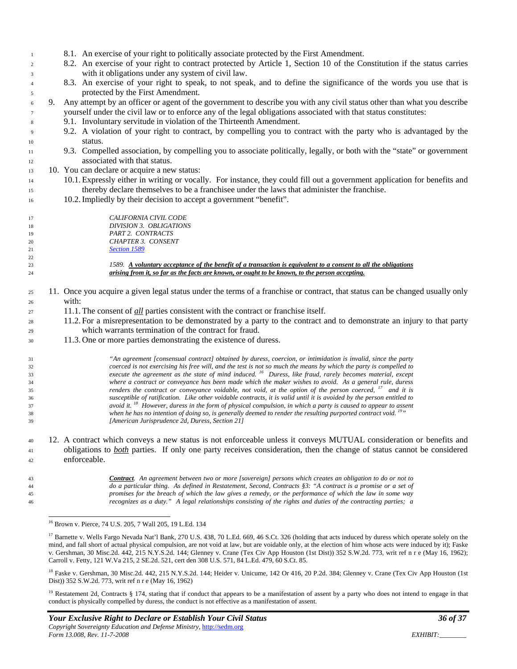- 8.1. An exercise of your right to politically associate protected by the First Amendment.
- 8.2. An exercise of your right to contract protected by Article 1, Section 10 of the Constitution if the status carries with it obligations under any system of civil law.
- 8.3. An exercise of your right to speak, to not speak, and to define the significance of the words you use that is protected by the First Amendment.
- 9. Any attempt by an officer or agent of the government to describe you with any civil status other than what you describe yourself under the civil law or to enforce any of the legal obligations associated with that status constitutes:
- 9.1. Involuntary servitude in violation of the Thirteenth Amendment.
- 9.2. A violation of your right to contract, by compelling you to contract with the party who is advantaged by the status.
- 9.3. Compelled association, by compelling you to associate politically, legally, or both with the "state" or government associated with that status.
- 10. You can declare or acquire a new status:
- 10.1. Expressly either in writing or vocally. For instance, they could fill out a government application for benefits and thereby declare themselves to be a franchisee under the laws that administer the franchise.
- 10.2.Impliedly by their decision to accept a government "benefit".

 *CALIFORNIA CIVIL CODE DIVISION 3. OBLIGATIONS PART 2. CONTRACTS CHAPTER 3. CONSENT [Section 1589](http://www.leginfo.ca.gov/cgi-bin/displaycode?section=civ&group=01001-02000&file=1565-1590) 1589. A voluntary acceptance of the benefit of a transaction is equivalent to a consent to all the obligations arising from it, so far as the facts are known, or ought to be known, to the person accepting.* 11. Once you acquire a given legal status under the terms of a franchise or contract, that status can be changed usually only

with:

- 11.1. The consent of *all* parties consistent with the contract or franchise itself.
- 11.2. For a misrepresentation to be demonstrated by a party to the contract and to demonstrate an injury to that party which warrants termination of the contract for fraud.
- 11.3. One or more parties demonstrating the existence of duress.

 *"An agreement [consensual contract] obtained by duress, coercion, or intimidation is invalid, since the party coerced is not exercising his free will, and the test is not so much the means by which the party is compelled to execute the agreement as the state of mind induced. <sup>16</sup> Duress, like fraud, rarely becomes material, except where a contract or conveyance has been made which the maker wishes to avoid. As a general rule, duress renders the contract or conveyance voidable, not void, at the option of the person coerced, <sup>17</sup> and it is susceptible of ratification. Like other voidable contracts, it is valid until it is avoided by the person entitled to avoid it. <sup>18</sup> However, duress in the form of physical compulsion, in which a party is caused to appear to assent*  <sup>19</sup><sup>19</sup> *when he has no intention of doing so, is generally deemed to render the resulting purported contract void.* <sup>19</sup> *[American Jurisprudence 2d, Duress, Section 21]*

 12. A contract which conveys a new status is not enforceable unless it conveys MUTUAL consideration or benefits and obligations to *both* parties. If only one party receives consideration, then the change of status cannot be considered enforceable.

 *Contract. An agreement between two or more [sovereign] persons which creates an obligation to do or not to do a particular thing. As defined in Restatement, Second, Contracts §3: "A contract is a promise or a set of promises for the breach of which the law gives a remedy, or the performance of which the law in some way recognizes as a duty." A legal relationships consisting of the rights and duties of the contracting parties; a* 

Brown v. Pierce, 74 U.S. 205, 7 Wall 205, 19 L.Ed. 134

<sup>&</sup>lt;sup>17</sup> Barnette v. Wells Fargo Nevada Nat'l Bank, 270 U.S. 438, 70 L.Ed. 669, 46 S.Ct. 326 (holding that acts induced by duress which operate solely on the mind, and fall short of actual physical compulsion, are not void at law, but are voidable only, at the election of him whose acts were induced by it); Faske v. Gershman, 30 Misc.2d. 442, 215 N.Y.S.2d. 144; Glenney v. Crane (Tex Civ App Houston (1st Dist)) 352 S.W.2d. 773, writ ref n r e (May 16, 1962); Carroll v. Fetty, 121 W.Va 215, 2 SE.2d. 521, cert den 308 U.S. 571, 84 L.Ed. 479, 60 S.Ct. 85.

<sup>&</sup>lt;sup>18</sup> Faske v. Gershman, 30 Misc.2d. 442, 215 N.Y.S.2d. 144; Heider v. Unicume, 142 Or 416, 20 P.2d. 384; Glenney v. Crane (Tex Civ App Houston (1st Dist)) 352 S.W.2d. 773, writ ref n r e (May 16, 1962)

<sup>&</sup>lt;sup>19</sup> Restatement 2d, Contracts § 174, stating that if conduct that appears to be a manifestation of assent by a party who does not intend to engage in that conduct is physically compelled by duress, the conduct is not effective as a manifestation of assent.